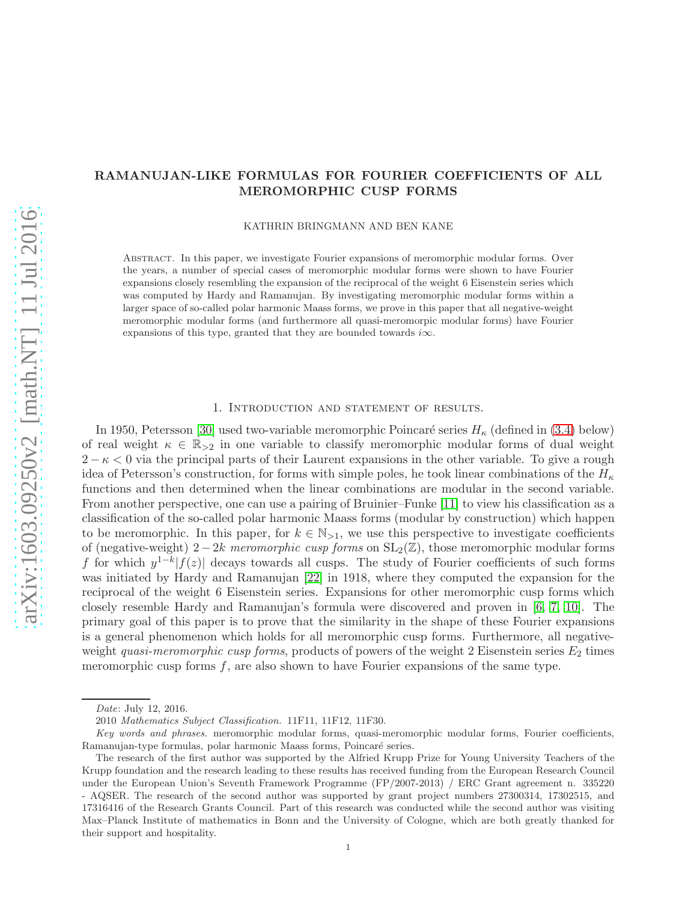# RAMANUJAN-LIKE FORMULAS FOR FOURIER COEFFICIENTS OF ALL MEROMORPHIC CUSP FORMS

KATHRIN BRINGMANN AND BEN KANE

Abstract. In this paper, we investigate Fourier expansions of meromorphic modular forms. Over the years, a number of special cases of meromorphic modular forms were shown to have Fourier expansions closely resembling the expansion of the reciprocal of the weight 6 Eisenstein series which was computed by Hardy and Ramanujan. By investigating meromorphic modular forms within a larger space of so-called polar harmonic Maass forms, we prove in this paper that all negative-weight meromorphic modular forms (and furthermore all quasi-meromorpic modular forms) have Fourier expansions of this type, granted that they are bounded towards  $i\infty$ .

#### 1. Introduction and statement of results.

In 1950, Petersson [\[30\]](#page-26-0) used two-variable meromorphic Poincaré series  $H_{\kappa}$  (defined in [\(3.4\)](#page-8-0) below) of real weight  $\kappa \in \mathbb{R}_{\geq 2}$  in one variable to classify meromorphic modular forms of dual weight  $2 - \kappa < 0$  via the principal parts of their Laurent expansions in the other variable. To give a rough idea of Petersson's construction, for forms with simple poles, he took linear combinations of the  $H_{\kappa}$ functions and then determined when the linear combinations are modular in the second variable. From another perspective, one can use a pairing of Bruinier–Funke [\[11\]](#page-25-0) to view his classification as a classification of the so-called polar harmonic Maass forms (modular by construction) which happen to be meromorphic. In this paper, for  $k \in \mathbb{N}_{>1}$ , we use this perspective to investigate coefficients of (negative-weight) 2−2k meromorphic cusp forms on  $SL_2(\mathbb{Z})$ , those meromorphic modular forms f for which  $y^{1-k} |f(z)|$  decays towards all cusps. The study of Fourier coefficients of such forms was initiated by Hardy and Ramanujan [\[22\]](#page-26-1) in 1918, where they computed the expansion for the reciprocal of the weight 6 Eisenstein series. Expansions for other meromorphic cusp forms which closely resemble Hardy and Ramanujan's formula were discovered and proven in [\[6,](#page-25-1) [7,](#page-25-2) [10\]](#page-25-3). The primary goal of this paper is to prove that the similarity in the shape of these Fourier expansions is a general phenomenon which holds for all meromorphic cusp forms. Furthermore, all negativeweight quasi-meromorphic cusp forms, products of powers of the weight 2 Eisenstein series  $E_2$  times meromorphic cusp forms  $f$ , are also shown to have Fourier expansions of the same type.

Date: July 12, 2016.

<sup>2010</sup> Mathematics Subject Classification. 11F11, 11F12, 11F30.

Key words and phrases. meromorphic modular forms, quasi-meromorphic modular forms, Fourier coefficients, Ramanujan-type formulas, polar harmonic Maass forms, Poincaré series.

The research of the first author was supported by the Alfried Krupp Prize for Young University Teachers of the Krupp foundation and the research leading to these results has received funding from the European Research Council under the European Union's Seventh Framework Programme (FP/2007-2013) / ERC Grant agreement n. 335220 - AQSER. The research of the second author was supported by grant project numbers 27300314, 17302515, and 17316416 of the Research Grants Council. Part of this research was conducted while the second author was visiting Max–Planck Institute of mathematics in Bonn and the University of Cologne, which are both greatly thanked for their support and hospitality.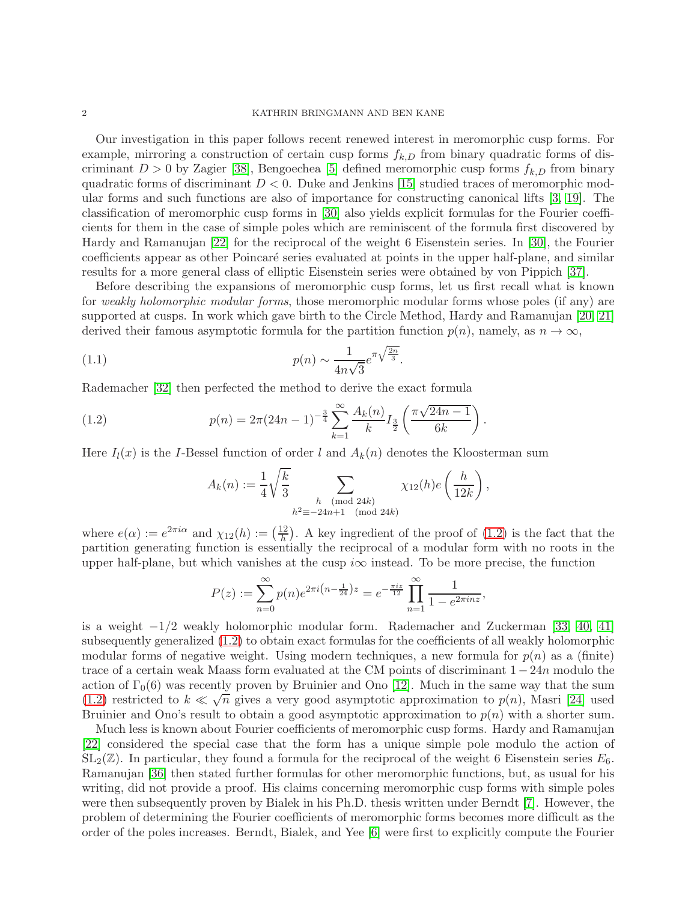Our investigation in this paper follows recent renewed interest in meromorphic cusp forms. For example, mirroring a construction of certain cusp forms  $f_{k,D}$  from binary quadratic forms of discriminant  $D > 0$  by Zagier [\[38\]](#page-26-2), Bengoechea [\[5\]](#page-25-4) defined meromorphic cusp forms  $f_{k,D}$  from binary quadratic forms of discriminant  $D < 0$ . Duke and Jenkins [\[15\]](#page-25-5) studied traces of meromorphic modular forms and such functions are also of importance for constructing canonical lifts [\[3,](#page-25-6) [19\]](#page-26-3). The classification of meromorphic cusp forms in [\[30\]](#page-26-0) also yields explicit formulas for the Fourier coefficients for them in the case of simple poles which are reminiscent of the formula first discovered by Hardy and Ramanujan [\[22\]](#page-26-1) for the reciprocal of the weight 6 Eisenstein series. In [\[30\]](#page-26-0), the Fourier coefficients appear as other Poincaré series evaluated at points in the upper half-plane, and similar results for a more general class of elliptic Eisenstein series were obtained by von Pippich [\[37\]](#page-26-4).

Before describing the expansions of meromorphic cusp forms, let us first recall what is known for weakly holomorphic modular forms, those meromorphic modular forms whose poles (if any) are supported at cusps. In work which gave birth to the Circle Method, Hardy and Ramanujan [\[20,](#page-26-5) [21\]](#page-26-6) derived their famous asymptotic formula for the partition function  $p(n)$ , namely, as  $n \to \infty$ ,

(1.1) 
$$
p(n) \sim \frac{1}{4n\sqrt{3}} e^{\pi \sqrt{\frac{2n}{3}}}.
$$

Rademacher [\[32\]](#page-26-7) then perfected the method to derive the exact formula

(1.2) 
$$
p(n) = 2\pi (24n - 1)^{-\frac{3}{4}} \sum_{k=1}^{\infty} \frac{A_k(n)}{k} I_{\frac{3}{2}}\left(\frac{\pi \sqrt{24n - 1}}{6k}\right).
$$

Here  $I_l(x)$  is the I-Bessel function of order l and  $A_k(n)$  denotes the Kloosterman sum

<span id="page-1-1"></span><span id="page-1-0"></span>
$$
A_k(n) := \frac{1}{4} \sqrt{\frac{k}{3}} \sum_{\substack{h \pmod{24k} \\ h^2 \equiv -24n+1 \pmod{24k}}} \chi_{12}(h) e\left(\frac{h}{12k}\right),
$$

where  $e(\alpha) := e^{2\pi i \alpha}$  and  $\chi_{12}(h) := \left(\frac{12}{h}\right)$  $\frac{12}{h}$ . A key ingredient of the proof of [\(1.2\)](#page-1-0) is the fact that the partition generating function is essentially the reciprocal of a modular form with no roots in the upper half-plane, but which vanishes at the cusp  $i\infty$  instead. To be more precise, the function

$$
P(z) := \sum_{n=0}^{\infty} p(n)e^{2\pi i \left(n - \frac{1}{24}\right)z} = e^{-\frac{\pi i z}{12}} \prod_{n=1}^{\infty} \frac{1}{1 - e^{2\pi i n z}},
$$

is a weight  $-1/2$  weakly holomorphic modular form. Rademacher and Zuckerman [\[33,](#page-26-8) [40,](#page-26-9) [41\]](#page-26-10) subsequently generalized [\(1.2\)](#page-1-0) to obtain exact formulas for the coefficients of all weakly holomorphic modular forms of negative weight. Using modern techniques, a new formula for  $p(n)$  as a (finite) trace of a certain weak Maass form evaluated at the CM points of discriminant  $1-24n$  modulo the action of  $\Gamma_0(6)$  was recently proven by Bruinier and Ono [\[12\]](#page-25-7). Much in the same way that the sum [\(1.2\)](#page-1-0) restricted to  $k \ll \sqrt{n}$  gives a very good asymptotic approximation to  $p(n)$ , Masri [\[24\]](#page-26-11) used Bruinier and Ono's result to obtain a good asymptotic approximation to  $p(n)$  with a shorter sum.

Much less is known about Fourier coefficients of meromorphic cusp forms. Hardy and Ramanujan [\[22\]](#page-26-1) considered the special case that the form has a unique simple pole modulo the action of  $SL_2(\mathbb{Z})$ . In particular, they found a formula for the reciprocal of the weight 6 Eisenstein series  $E_6$ . Ramanujan [\[36\]](#page-26-12) then stated further formulas for other meromorphic functions, but, as usual for his writing, did not provide a proof. His claims concerning meromorphic cusp forms with simple poles were then subsequently proven by Bialek in his Ph.D. thesis written under Berndt [\[7\]](#page-25-2). However, the problem of determining the Fourier coefficients of meromorphic forms becomes more difficult as the order of the poles increases. Berndt, Bialek, and Yee [\[6\]](#page-25-1) were first to explicitly compute the Fourier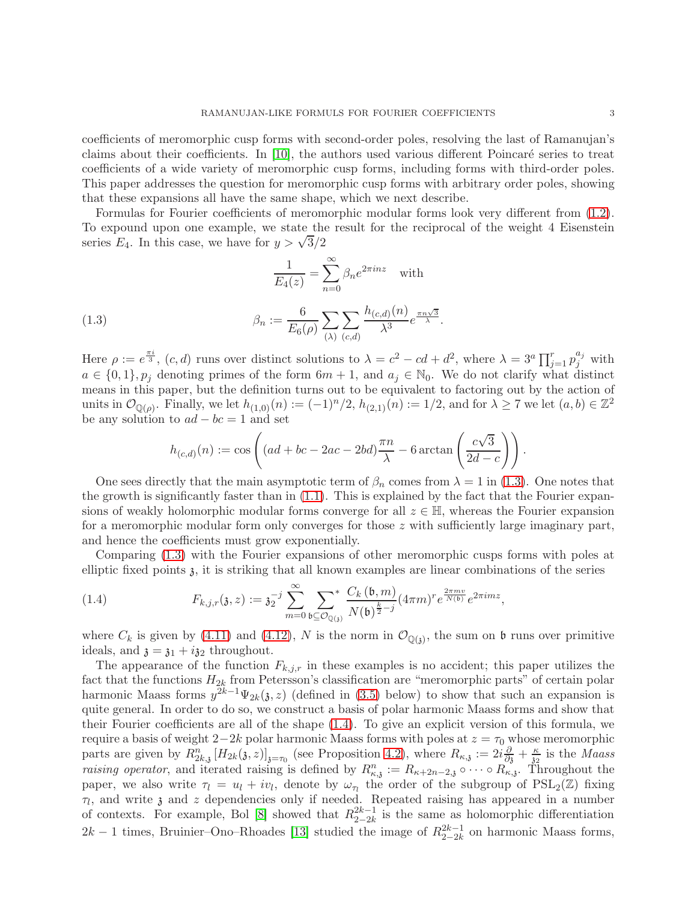coefficients of meromorphic cusp forms with second-order poles, resolving the last of Ramanujan's claims about their coefficients. In  $[10]$ , the authors used various different Poincaré series to treat coefficients of a wide variety of meromorphic cusp forms, including forms with third-order poles. This paper addresses the question for meromorphic cusp forms with arbitrary order poles, showing that these expansions all have the same shape, which we next describe.

Formulas for Fourier coefficients of meromorphic modular forms look very different from [\(1.2\)](#page-1-0). To expound upon one example, we state the result for the reciprocal of the weight 4 Eisenstein series  $E_4$ . In this case, we have for  $y > \sqrt{3}/2$ 

<span id="page-2-0"></span>
$$
\frac{1}{E_4(z)} = \sum_{n=0}^{\infty} \beta_n e^{2\pi i nz} \quad \text{with}
$$
\n
$$
6 \sum_{n=0}^{\infty} \frac{h_{(c,d)}(n)}{n}
$$

(1.3) 
$$
\beta_n := \frac{6}{E_6(\rho)} \sum_{(\lambda)} \sum_{(c,d)} \frac{h_{(c,d)}(n)}{\lambda^3} e^{\frac{\pi n \sqrt{3}}{\lambda}}.
$$

Here  $\rho := e^{\frac{\pi i}{3}}$ ,  $(c, d)$  runs over distinct solutions to  $\lambda = c^2 - cd + d^2$ , where  $\lambda = 3^a \prod_{j=1}^r p_j^{a_j}$  with  $a \in \{0,1\}, p_j$  denoting primes of the form  $6m + 1$ , and  $a_j \in \mathbb{N}_0$ . We do not clarify what distinct means in this paper, but the definition turns out to be equivalent to factoring out by the action of units in  $\mathcal{O}_{\mathbb{Q}(\rho)}$ . Finally, we let  $h_{(1,0)}(n) := (-1)^n/2$ ,  $h_{(2,1)}(n) := 1/2$ , and for  $\lambda \geq 7$  we let  $(a, b) \in \mathbb{Z}^2$ be any solution to  $ad - bc = 1$  and set

$$
h_{(c,d)}(n) := \cos\left( (ad + bc - 2ac - 2bd) \frac{\pi n}{\lambda} - 6 \arctan\left(\frac{c\sqrt{3}}{2d - c}\right) \right).
$$

One sees directly that the main asymptotic term of  $\beta_n$  comes from  $\lambda = 1$  in [\(1.3\)](#page-2-0). One notes that the growth is significantly faster than in  $(1.1)$ . This is explained by the fact that the Fourier expansions of weakly holomorphic modular forms converge for all  $z \in \mathbb{H}$ , whereas the Fourier expansion for a meromorphic modular form only converges for those z with sufficiently large imaginary part, and hence the coefficients must grow exponentially.

Comparing [\(1.3\)](#page-2-0) with the Fourier expansions of other meromorphic cusps forms with poles at elliptic fixed points  $\delta$ , it is striking that all known examples are linear combinations of the series

<span id="page-2-1"></span>(1.4) 
$$
F_{k,j,r}(\mathfrak{z},z) := \mathfrak{z}_2^{-j} \sum_{m=0}^{\infty} \sum_{\mathfrak{b} \subseteq \mathcal{O}_{\mathbb{Q}(\mathfrak{z})}}^* \frac{C_k(\mathfrak{b},m)}{N(\mathfrak{b})^{\frac{k}{2}-j}} (4\pi m)^r e^{\frac{2\pi m v}{N(\mathfrak{b})}} e^{2\pi i m z},
$$

where  $C_k$  is given by [\(4.11\)](#page-14-0) and [\(4.12\)](#page-14-1), N is the norm in  $\mathcal{O}_{\mathbb{Q}(3)}$ , the sum on b runs over primitive ideals, and  $\mathfrak{z} = \mathfrak{z}_1 + i \mathfrak{z}_2$  throughout.

The appearance of the function  $F_{k,j,r}$  in these examples is no accident; this paper utilizes the fact that the functions  $H_{2k}$  from Petersson's classification are "meromorphic parts" of certain polar harmonic Maass forms  $y^{2k-1}\Psi_{2k}(\mathfrak{z},z)$  (defined in [\(3.5\)](#page-8-1) below) to show that such an expansion is quite general. In order to do so, we construct a basis of polar harmonic Maass forms and show that their Fourier coefficients are all of the shape [\(1.4\)](#page-2-1). To give an explicit version of this formula, we require a basis of weight 2−2k polar harmonic Maass forms with poles at  $z = \tau_0$  whose meromorphic parts are given by  $R_{2k,3}^n[H_{2k}(3,z)]_{3=\tau_0}$  (see Proposition [4.2\)](#page-12-0), where  $R_{\kappa,3} := 2i \frac{\partial}{\partial 3} + \frac{\kappa}{3}$  is the *Maass* raising operator, and iterated raising is defined by  $R_{\kappa,3}^n := R_{\kappa+2n-2,3} \circ \cdots \circ R_{\kappa,3}$ . Throughout the paper, we also write  $\tau_l = u_l + iv_l$ , denote by  $\omega_{\tau_l}$  the order of the subgroup of  $PSL_2(\mathbb{Z})$  fixing  $\tau_l$ , and write  $\chi$  and  $z$  dependencies only if needed. Repeated raising has appeared in a number of contexts. For example, Bol [\[8\]](#page-25-8) showed that  $R_{2-2k}^{2k-1}$  $\frac{2k-1}{2-2k}$  is the same as holomorphic differentiation  $2k-1$  times, Bruinier–Ono–Rhoades [\[13\]](#page-25-9) studied the image of  $R_{2-2k}^{2k-1}$  $\frac{2k-1}{2-2k}$  on harmonic Maass forms,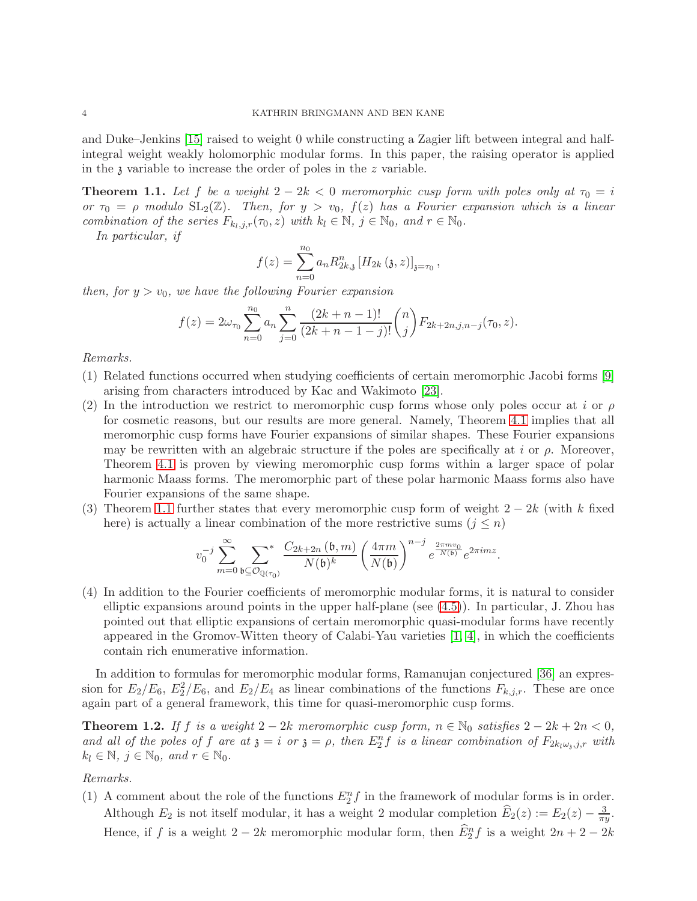and Duke–Jenkins [\[15\]](#page-25-5) raised to weight 0 while constructing a Zagier lift between integral and halfintegral weight weakly holomorphic modular forms. In this paper, the raising operator is applied in the  $\alpha$  variable to increase the order of poles in the  $z$  variable.

<span id="page-3-0"></span>**Theorem 1.1.** Let f be a weight  $2 - 2k < 0$  meromorphic cusp form with poles only at  $\tau_0 = i$ or  $\tau_0 = \rho$  modulo  $SL_2(\mathbb{Z})$ . Then, for  $y > v_0$ ,  $f(z)$  has a Fourier expansion which is a linear combination of the series  $F_{k_l,j,r}(\tau_0,z)$  with  $k_l \in \mathbb{N}$ ,  $j \in \mathbb{N}_0$ , and  $r \in \mathbb{N}_0$ .

In particular, if

$$
f(z) = \sum_{n=0}^{n_0} a_n R_{2k,3}^n [H_{2k} (3, z)]_{3=\tau_0},
$$

then, for  $y > v_0$ , we have the following Fourier expansion

$$
f(z) = 2\omega_{\tau_0} \sum_{n=0}^{n_0} a_n \sum_{j=0}^n \frac{(2k+n-1)!}{(2k+n-1-j)!} {n \choose j} F_{2k+2n,j,n-j}(\tau_0, z).
$$

Remarks.

- (1) Related functions occurred when studying coefficients of certain meromorphic Jacobi forms [\[9\]](#page-25-10) arising from characters introduced by Kac and Wakimoto [\[23\]](#page-26-13).
- (2) In the introduction we restrict to meromorphic cusp forms whose only poles occur at i or  $\rho$ for cosmetic reasons, but our results are more general. Namely, Theorem [4.1](#page-11-0) implies that all meromorphic cusp forms have Fourier expansions of similar shapes. These Fourier expansions may be rewritten with an algebraic structure if the poles are specifically at i or  $\rho$ . Moreover, Theorem [4.1](#page-11-0) is proven by viewing meromorphic cusp forms within a larger space of polar harmonic Maass forms. The meromorphic part of these polar harmonic Maass forms also have Fourier expansions of the same shape.
- (3) Theorem [1.1](#page-3-0) further states that every meromorphic cusp form of weight  $2 2k$  (with k fixed here) is actually a linear combination of the more restrictive sums  $(j \leq n)$

$$
v_0^{-j}\sum_{m=0}^\infty\sum_{\mathfrak{b}\subseteq\mathcal{O}_{\mathbb{Q}(\tau_0)}}\frac{C_{2k+2n}\left(\mathfrak{b},m\right)}{N(\mathfrak{b})^k}\left(\frac{4\pi m}{N(\mathfrak{b})}\right)^{n-j}e^{\frac{2\pi mv_0}{N(\mathfrak{b})}}e^{2\pi imz}.
$$

(4) In addition to the Fourier coefficients of meromorphic modular forms, it is natural to consider elliptic expansions around points in the upper half-plane (see [\(4.5\)](#page-12-1)). In particular, J. Zhou has pointed out that elliptic expansions of certain meromorphic quasi-modular forms have recently appeared in the Gromov-Witten theory of Calabi-Yau varieties  $[1, 4]$  $[1, 4]$ , in which the coefficients contain rich enumerative information.

In addition to formulas for meromorphic modular forms, Ramanujan conjectured [\[36\]](#page-26-12) an expression for  $E_2/E_6$ ,  $E_2^2/E_6$ , and  $E_2/E_4$  as linear combinations of the functions  $F_{k,j,r}$ . These are once again part of a general framework, this time for quasi-meromorphic cusp forms.

<span id="page-3-1"></span>**Theorem 1.2.** If f is a weight  $2 - 2k$  meromorphic cusp form,  $n \in \mathbb{N}_0$  satisfies  $2 - 2k + 2n < 0$ , and all of the poles of f are at  $\mathfrak{z} = i$  or  $\mathfrak{z} = \rho$ , then  $E_2^n f$  is a linear combination of  $F_{2k_l\omega_{\mathfrak{z}},j,r}$  with  $k_l \in \mathbb{N}, j \in \mathbb{N}_0, \text{ and } r \in \mathbb{N}_0.$ 

Remarks.

(1) A comment about the role of the functions  $E_2^n f$  in the framework of modular forms is in order. Although  $E_2$  is not itself modular, it has a weight 2 modular completion  $\widehat{E}_2(z) := E_2(z) - \frac{3}{\pi i}$  $\frac{3}{\pi y}$ . Hence, if f is a weight  $2 - 2k$  meromorphic modular form, then  $\widehat{E}_2^n f$  is a weight  $2n + 2 - 2k$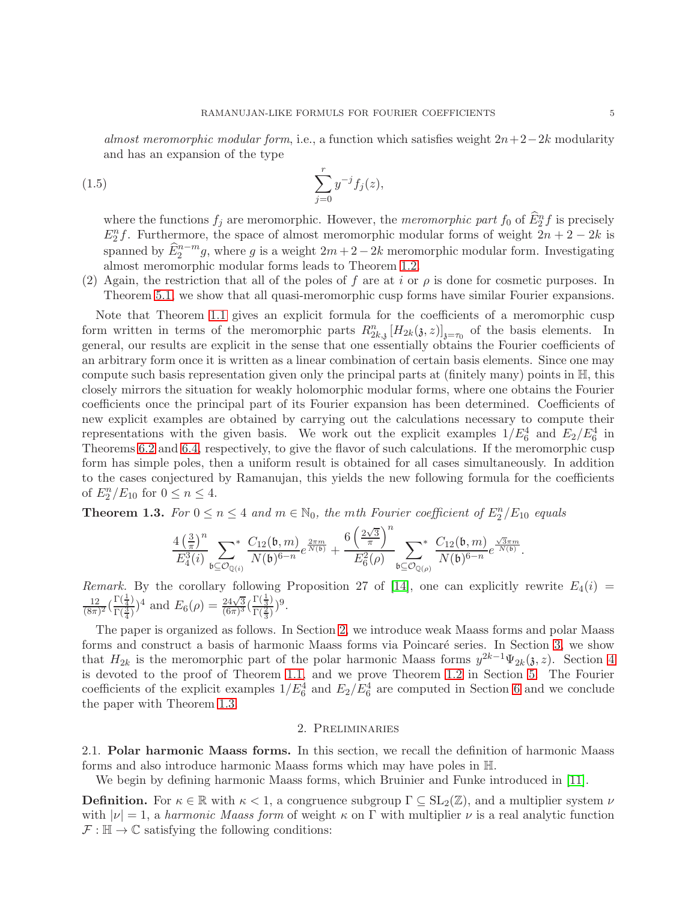almost meromorphic modular form, i.e., a function which satisfies weight  $2n+2-2k$  modularity and has an expansion of the type

(1.5) 
$$
\sum_{j=0}^{r} y^{-j} f_j(z),
$$

<span id="page-4-2"></span>where the functions  $f_j$  are meromorphic. However, the meromorphic part  $f_0$  of  $\widehat{E}_2^n f$  is precisely  $E_2^n f$ . Furthermore, the space of almost meromorphic modular forms of weight  $2n + 2 - 2k$  is spanned by  $\widehat{E}_2^{n-m}g$ , where g is a weight  $2m+2-2k$  meromorphic modular form. Investigating almost meromorphic modular forms leads to Theorem [1.2.](#page-3-1)

(2) Again, the restriction that all of the poles of f are at i or  $\rho$  is done for cosmetic purposes. In Theorem [5.1,](#page-15-0) we show that all quasi-meromorphic cusp forms have similar Fourier expansions.

Note that Theorem [1.1](#page-3-0) gives an explicit formula for the coefficients of a meromorphic cusp form written in terms of the meromorphic parts  $R_{2k,3}^n[H_{2k}(3,z)]_{z=\tau_0}$  of the basis elements. In general, our results are explicit in the sense that one essentially obtains the Fourier coefficients of an arbitrary form once it is written as a linear combination of certain basis elements. Since one may compute such basis representation given only the principal parts at (finitely many) points in  $\mathbb{H}$ , this closely mirrors the situation for weakly holomorphic modular forms, where one obtains the Fourier coefficients once the principal part of its Fourier expansion has been determined. Coefficients of new explicit examples are obtained by carrying out the calculations necessary to compute their representations with the given basis. We work out the explicit examples  $1/E_6^4$  and  $E_2/E_6^4$  in Theorems [6.2](#page-18-0) and [6.4,](#page-19-0) respectively, to give the flavor of such calculations. If the meromorphic cusp form has simple poles, then a uniform result is obtained for all cases simultaneously. In addition to the cases conjectured by Ramanujan, this yields the new following formula for the coefficients of  $E_2^n/E_{10}$  for  $0 \le n \le 4$ .

<span id="page-4-1"></span>**Theorem 1.3.** For  $0 \le n \le 4$  and  $m \in \mathbb{N}_0$ , the mth Fourier coefficient of  $E_2^n/E_{10}$  equals

$$
\frac{4 \left(\frac{3}{\pi}\right)^n}{E_4^3(i)} \sum_{\mathfrak{b} \subseteq \mathcal{O}_{\mathbb{Q}(i)}} \frac{C_{12}(\mathfrak{b},m)}{N(\mathfrak{b})^{6-n}} e^{\frac{2 \pi m}{N(\mathfrak{b})}} + \frac{6 \left(\frac{2 \sqrt{3}}{\pi}\right)^n}{E_6^2(\rho)} \sum_{\mathfrak{b} \subseteq \mathcal{O}_{\mathbb{Q}(\rho)}} \frac{C_{12}(\mathfrak{b},m)}{N(\mathfrak{b})^{6-n}} e^{\frac{\sqrt{3} \pi m}{N(\mathfrak{b})}}.
$$

Remark. By the corollary following Proposition 27 of [\[14\]](#page-25-13), one can explicitly rewrite  $E_4(i)$  = 12  $\frac{12}{(8\pi)^2} \left( \frac{\Gamma(\frac{1}{4})}{\Gamma(\frac{3}{4})} \right)$  $\frac{\Gamma(\frac{1}{4})}{\Gamma(\frac{3}{4})})^4$  and  $E_6(\rho) = \frac{24\sqrt{3}}{(6\pi)^3}$  $\frac{24\sqrt{3}}{(6\pi)^3} \left(\frac{\Gamma(\frac{1}{3})}{\Gamma(\frac{2}{3})}\right)$  $\frac{\Gamma(\frac{2}{3})}{\Gamma(\frac{2}{3})}$ )<sup>9</sup>.

The paper is organized as follows. In Section [2,](#page-4-0) we introduce weak Maass forms and polar Maass forms and construct a basis of harmonic Maass forms via Poincaré series. In Section [3,](#page-7-0) we show that  $H_{2k}$  is the meromorphic part of the polar harmonic Maass forms  $y^{2k-1}\Psi_{2k}(\mathfrak{z},z)$ . Section [4](#page-11-1) is devoted to the proof of Theorem [1.1,](#page-3-0) and we prove Theorem [1.2](#page-3-1) in Section [5.](#page-14-2) The Fourier coefficients of the explicit examples  $1/E_6^4$  and  $E_2/E_6^4$  are computed in Section [6](#page-17-0) and we conclude the paper with Theorem [1.3.](#page-4-1)

#### 2. Preliminaries

<span id="page-4-0"></span>2.1. Polar harmonic Maass forms. In this section, we recall the definition of harmonic Maass forms and also introduce harmonic Maass forms which may have poles in H.

We begin by defining harmonic Maass forms, which Bruinier and Funke introduced in [\[11\]](#page-25-0).

**Definition.** For  $\kappa \in \mathbb{R}$  with  $\kappa < 1$ , a congruence subgroup  $\Gamma \subseteq SL_2(\mathbb{Z})$ , and a multiplier system  $\nu$ with  $|\nu|=1$ , a harmonic Maass form of weight  $\kappa$  on  $\Gamma$  with multiplier  $\nu$  is a real analytic function  $\mathcal{F} : \mathbb{H} \to \mathbb{C}$  satisfying the following conditions: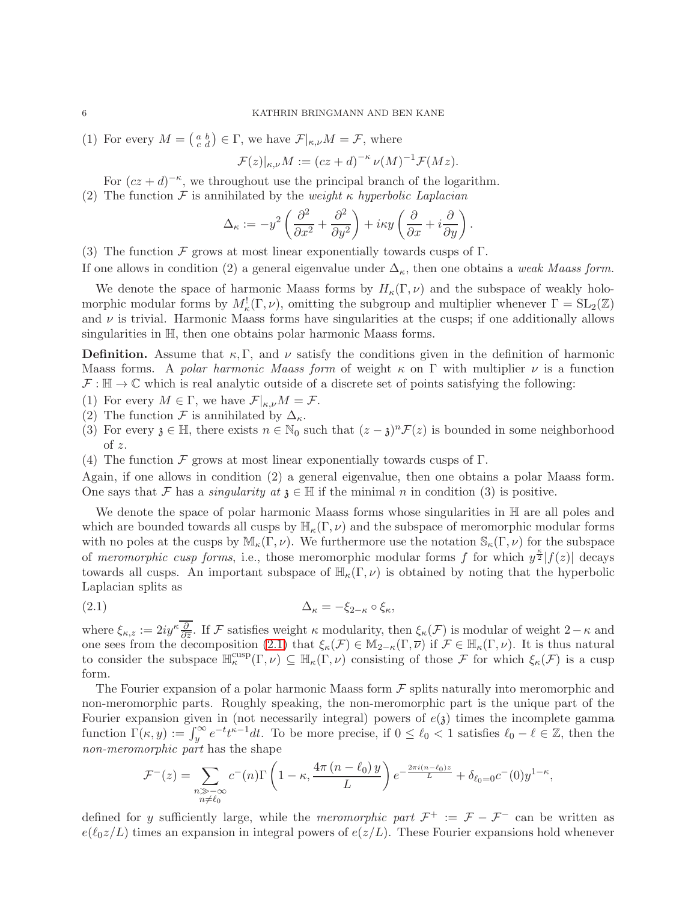(1) For every  $M = \begin{pmatrix} a & b \\ c & d \end{pmatrix} \in \Gamma$ , we have  $\mathcal{F}|_{\kappa,\nu} M = \mathcal{F}$ , where

$$
\mathcal{F}(z)|_{\kappa,\nu}M := (cz+d)^{-\kappa} \nu(M)^{-1} \mathcal{F}(Mz).
$$

For  $(cz + d)^{-\kappa}$ , we throughout use the principal branch of the logarithm.

(2) The function  $\mathcal F$  is annihilated by the *weight*  $\kappa$  hyperbolic Laplacian

$$
\Delta_{\kappa} := -y^2 \left( \frac{\partial^2}{\partial x^2} + \frac{\partial^2}{\partial y^2} \right) + i\kappa y \left( \frac{\partial}{\partial x} + i \frac{\partial}{\partial y} \right).
$$

(3) The function F grows at most linear exponentially towards cusps of  $\Gamma$ .

If one allows in condition (2) a general eigenvalue under  $\Delta_{\kappa}$ , then one obtains a weak Maass form.

We denote the space of harmonic Maass forms by  $H_{\kappa}(\Gamma,\nu)$  and the subspace of weakly holomorphic modular forms by  $M^!_{\kappa}(\Gamma,\nu)$ , omitting the subgroup and multiplier whenever  $\Gamma = SL_2(\mathbb{Z})$ and  $\nu$  is trivial. Harmonic Maass forms have singularities at the cusps; if one additionally allows singularities in H, then one obtains polar harmonic Maass forms.

**Definition.** Assume that  $\kappa$ ,  $\Gamma$ , and  $\nu$  satisfy the conditions given in the definition of harmonic Maass forms. A polar harmonic Maass form of weight  $\kappa$  on  $\Gamma$  with multiplier  $\nu$  is a function  $\mathcal{F} : \mathbb{H} \to \mathbb{C}$  which is real analytic outside of a discrete set of points satisfying the following:

- (1) For every  $M \in \Gamma$ , we have  $\mathcal{F}|_{\kappa,\nu}M = \mathcal{F}$ .
- (2) The function F is annihilated by  $\Delta_{\kappa}$ .
- (3) For every  $\mathfrak{z} \in \mathbb{H}$ , there exists  $n \in \mathbb{N}_0$  such that  $(z \mathfrak{z})^n \mathcal{F}(z)$  is bounded in some neighborhood of z.
- (4) The function F grows at most linear exponentially towards cusps of  $\Gamma$ .

Again, if one allows in condition (2) a general eigenvalue, then one obtains a polar Maass form. One says that F has a *singularity at*  $\mathfrak{z} \in \mathbb{H}$  if the minimal n in condition (3) is positive.

We denote the space of polar harmonic Maass forms whose singularities in  $\mathbb H$  are all poles and which are bounded towards all cusps by  $\mathbb{H}_{\kappa}(\Gamma,\nu)$  and the subspace of meromorphic modular forms with no poles at the cusps by  $\mathbb{M}_{\kappa}(\Gamma,\nu)$ . We furthermore use the notation  $\mathbb{S}_{\kappa}(\Gamma,\nu)$  for the subspace of meromorphic cusp forms, i.e., those meromorphic modular forms f for which  $y^{\frac{\kappa}{2}}|f(z)|$  decays towards all cusps. An important subspace of  $\mathbb{H}_{\kappa}(\Gamma,\nu)$  is obtained by noting that the hyperbolic Laplacian splits as

<span id="page-5-0"></span>
$$
\Delta_{\kappa} = -\xi_{2-\kappa} \circ \xi_{\kappa},
$$

where  $\xi_{\kappa,z} := 2iy^{\kappa} \frac{\partial}{\partial \overline{z}}$ . If F satisfies weight  $\kappa$  modularity, then  $\xi_{\kappa}(\mathcal{F})$  is modular of weight  $2-\kappa$  and one sees from the decomposition [\(2.1\)](#page-5-0) that  $\xi_{\kappa}(\mathcal{F}) \in M_{2-\kappa}(\Gamma,\overline{\nu})$  if  $\mathcal{F} \in \mathbb{H}_{\kappa}(\Gamma,\nu)$ . It is thus natural to consider the subspace  $\mathbb{H}_{\kappa}^{\text{cusp}}(\Gamma,\nu) \subseteq \mathbb{H}_{\kappa}(\Gamma,\nu)$  consisting of those F for which  $\xi_{\kappa}(\mathcal{F})$  is a cusp form.

The Fourier expansion of a polar harmonic Maass form  $\mathcal F$  splits naturally into meromorphic and non-meromorphic parts. Roughly speaking, the non-meromorphic part is the unique part of the Fourier expansion given in (not necessarily integral) powers of  $e(\lambda)$  times the incomplete gamma function  $\Gamma(\kappa, y) := \int_y^{\infty} e^{-t} t^{\kappa-1} dt$ . To be more precise, if  $0 \leq \ell_0 < 1$  satisfies  $\ell_0 - \ell \in \mathbb{Z}$ , then the non-meromorphic part has the shape

$$
\mathcal{F}^{-}(z) = \sum_{\substack{n \gg -\infty \\ n \neq \ell_0}} c^{-}(n) \Gamma\left(1 - \kappa, \frac{4\pi (n - \ell_0) y}{L}\right) e^{-\frac{2\pi i (n - \ell_0) z}{L}} + \delta_{\ell_0 = 0} c^{-}(0) y^{1 - \kappa},
$$

defined for y sufficiently large, while the meromorphic part  $\mathcal{F}^+ := \mathcal{F} - \mathcal{F}^-$  can be written as  $e(\ell_0 z/L)$  times an expansion in integral powers of  $e(z/L)$ . These Fourier expansions hold whenever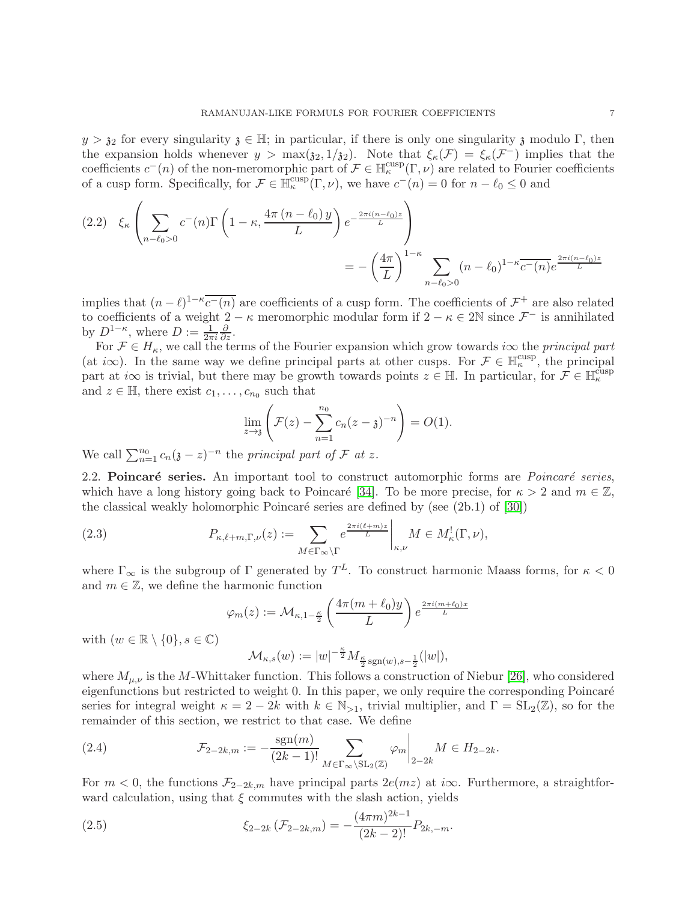$y > \mathfrak{z}_2$  for every singularity  $\mathfrak{z} \in \mathbb{H}$ ; in particular, if there is only one singularity  $\mathfrak{z}$  modulo Γ, then the expansion holds whenever  $y > \max(\mathfrak{z}_2, 1/\mathfrak{z}_2)$ . Note that  $\xi_{\kappa}(\mathcal{F}) = \xi_{\kappa}(\mathcal{F}^-)$  implies that the coefficients  $c^-(n)$  of the non-meromorphic part of  $\mathcal{F} \in \mathbb{H}_\kappa^{cusp}(\Gamma,\nu)$  are related to Fourier coefficients of a cusp form. Specifically, for  $\mathcal{F} \in \mathbb{H}_{\kappa}^{\text{cusp}}(\Gamma,\nu)$ , we have  $c^-(n) = 0$  for  $n - \ell_0 \leq 0$  and

<span id="page-6-1"></span>
$$
(2.2) \quad \xi_{\kappa} \left( \sum_{n-\ell_0>0} c^-(n) \Gamma\left(1-\kappa, \frac{4\pi (n-\ell_0) y}{L}\right) e^{-\frac{2\pi i (n-\ell_0) z}{L}} \right)
$$
  
= 
$$
- \left(\frac{4\pi}{L}\right)^{1-\kappa} \sum_{n-\ell_0>0} (n-\ell_0)^{1-\kappa} \overline{c^-(n)} e^{\frac{2\pi i (n-\ell_0) z}{L}}
$$

implies that  $(n - \ell)^{1 - \kappa} \overline{c^{-}(n)}$  are coefficients of a cusp form. The coefficients of  $\mathcal{F}^+$  are also related to coefficients of a weight  $2 - \kappa$  meromorphic modular form if  $2 - \kappa \in 2\mathbb{N}$  since  $\mathcal{F}^-$  is annihilated by  $D^{1-\kappa}$ , where  $D := \frac{1}{2\pi i}$  $rac{\partial}{\partial z}$ .

For  $\mathcal{F} \in H_{\kappa}$ , we call the terms of the Fourier expansion which grow towards i $\infty$  the principal part (at  $i\infty$ ). In the same way we define principal parts at other cusps. For  $\mathcal{F} \in \mathbb{H}_{\kappa}^{\text{cusp}}$ , the principal part at  $i\infty$  is trivial, but there may be growth towards points  $z \in \mathbb{H}$ . In particular, for  $\mathcal{F} \in \mathbb{H}_\kappa^{\text{cusp}}$ and  $z \in \mathbb{H}$ , there exist  $c_1, \ldots, c_{n_0}$  such that

$$
\lim_{z \to 3} \left( \mathcal{F}(z) - \sum_{n=1}^{n_0} c_n (z - \mathfrak{z})^{-n} \right) = O(1).
$$

We call  $\sum_{n=1}^{n_0} c_n(\mathfrak{z} - z)^{-n}$  the principal part of  $\mathcal F$  at z.

2.2. Poincaré series. An important tool to construct automorphic forms are *Poincaré series*, which have a long history going back to Poincaré [\[34\]](#page-26-14). To be more precise, for  $\kappa > 2$  and  $m \in \mathbb{Z}$ , the classical weakly holomorphic Poincaré series are defined by (see  $(2b.1)$  of  $[30]$ )

(2.3) 
$$
P_{\kappa,\ell+m,\Gamma,\nu}(z) := \sum_{M \in \Gamma_{\infty} \backslash \Gamma} e^{\frac{2\pi i (\ell+m)z}{L}} \bigg|_{\kappa,\nu} M \in M_{\kappa}^{!}(\Gamma,\nu),
$$

where  $\Gamma_{\infty}$  is the subgroup of  $\Gamma$  generated by  $T^L$ . To construct harmonic Maass forms, for  $\kappa < 0$ and  $m \in \mathbb{Z}$ , we define the harmonic function

$$
\varphi_m(z) := \mathcal{M}_{\kappa, 1-\frac{\kappa}{2}} \left( \frac{4\pi (m + \ell_0) y}{L} \right) e^{\frac{2\pi i (m + \ell_0)x}{L}}
$$

$$
\mathcal{M}_{\kappa, s}(w) := |w|^{-\frac{\kappa}{2}} M_{\frac{\kappa}{2} \operatorname{sgn}(w), s-\frac{1}{2}}(|w|),
$$

with  $(w \in \mathbb{R} \setminus \{0\}, s \in \mathbb{C})$ 

where 
$$
M_{\mu,\nu}
$$
 is the *M*-Whittaker function. This follows a construction of Niebur [26], who considered eigenfunctions but restricted to weight 0. In this paper, we only require the corresponding Poincaré series for integral weight  $\kappa = 2 - 2k$  with  $k \in \mathbb{N}_{>1}$ , trivial multiplier, and  $\Gamma = SL_2(\mathbb{Z})$ , so for the remainder of this section, we restrict to that case. We define

<span id="page-6-2"></span>(2.4) 
$$
\mathcal{F}_{2-2k,m} := -\frac{\text{sgn}(m)}{(2k-1)!} \sum_{M \in \Gamma_{\infty} \backslash \text{SL}_2(\mathbb{Z})} \varphi_m \bigg|_{2-2k} M \in H_{2-2k}.
$$

For  $m < 0$ , the functions  $\mathcal{F}_{2-2k,m}$  have principal parts  $2e(mz)$  at i $\infty$ . Furthermore, a straightforward calculation, using that  $\xi$  commutes with the slash action, yields

<span id="page-6-0"></span>(2.5) 
$$
\xi_{2-2k}(\mathcal{F}_{2-2k,m}) = -\frac{(4\pi m)^{2k-1}}{(2k-2)!}P_{2k,-m}.
$$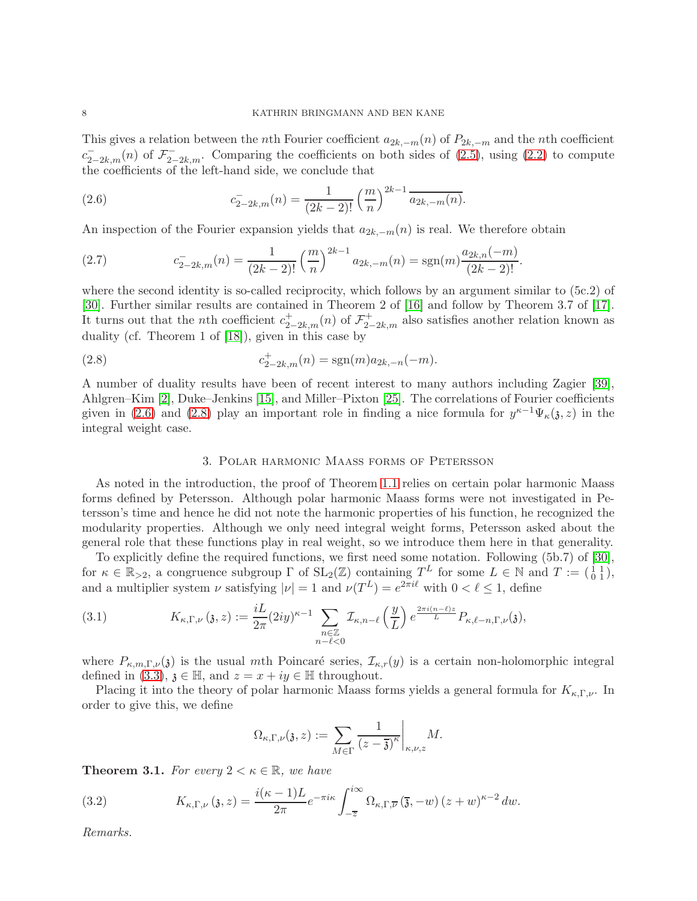This gives a relation between the nth Fourier coefficient  $a_{2k,-m}(n)$  of  $P_{2k,-m}$  and the nth coefficient  $c_{2-2k,m}^{-}(n)$  of  $\mathcal{F}_{2-2k,m}^{-}$ . Comparing the coefficients on both sides of [\(2.5\)](#page-6-0), using [\(2.2\)](#page-6-1) to compute the coefficients of the left-hand side, we conclude that

<span id="page-7-1"></span>(2.6) 
$$
c_{2-2k,m}^{-}(n) = \frac{1}{(2k-2)!} \left(\frac{m}{n}\right)^{2k-1} \overline{a_{2k,-m}(n)}.
$$

An inspection of the Fourier expansion yields that  $a_{2k,-m}(n)$  is real. We therefore obtain

<span id="page-7-6"></span>(2.7) 
$$
c_{2-2k,m}^-(n) = \frac{1}{(2k-2)!} \left(\frac{m}{n}\right)^{2k-1} a_{2k,-m}(n) = \text{sgn}(m) \frac{a_{2k,n}(-m)}{(2k-2)!}.
$$

where the second identity is so-called reciprocity, which follows by an argument similar to (5c.2) of [\[30\]](#page-26-0). Further similar results are contained in Theorem 2 of [\[16\]](#page-26-16) and follow by Theorem 3.7 of [\[17\]](#page-26-17). It turns out that the *n*th coefficient  $c_{2-2k,m}^+(n)$  of  $\mathcal{F}_{2-2k,m}^+(n)$  also satisfies another relation known as duality (cf. Theorem 1 of [\[18\]](#page-26-18)), given in this case by

(2.8) 
$$
c_{2-2k,m}^+(n) = \text{sgn}(m)a_{2k,-n}(-m).
$$

A number of duality results have been of recent interest to many authors including Zagier [\[39\]](#page-26-19), Ahlgren–Kim [\[2\]](#page-25-14), Duke–Jenkins [\[15\]](#page-25-5), and Miller–Pixton [\[25\]](#page-26-20). The correlations of Fourier coefficients given in [\(2.6\)](#page-7-1) and [\(2.8\)](#page-7-2) play an important role in finding a nice formula for  $y^{k-1}\Psi_k(\mathfrak{z},z)$  in the integral weight case.

#### <span id="page-7-2"></span>3. Polar harmonic Maass forms of Petersson

<span id="page-7-0"></span>As noted in the introduction, the proof of Theorem [1.1](#page-3-0) relies on certain polar harmonic Maass forms defined by Petersson. Although polar harmonic Maass forms were not investigated in Petersson's time and hence he did not note the harmonic properties of his function, he recognized the modularity properties. Although we only need integral weight forms, Petersson asked about the general role that these functions play in real weight, so we introduce them here in that generality.

To explicitly define the required functions, we first need some notation. Following (5b.7) of [\[30\]](#page-26-0), for  $\kappa \in \mathbb{R}_{\geq 2}$ , a congruence subgroup  $\Gamma$  of  $SL_2(\mathbb{Z})$  containing  $T^L$  for some  $L \in \mathbb{N}$  and  $T := \begin{pmatrix} 1 & 1 \\ 0 & 1 \end{pmatrix}$ , and a multiplier system  $\nu$  satisfying  $|\nu| = 1$  and  $\nu(T^L) = e^{2\pi i \ell}$  with  $0 < \ell \leq 1$ , define

<span id="page-7-4"></span>(3.1) 
$$
K_{\kappa,\Gamma,\nu}(3,z) := \frac{iL}{2\pi} (2iy)^{\kappa-1} \sum_{\substack{n \in \mathbb{Z} \\ n-\ell < 0}} \mathcal{I}_{\kappa,n-\ell}\left(\frac{y}{L}\right) e^{\frac{2\pi i (n-\ell)z}{L}} P_{\kappa,\ell-n,\Gamma,\nu}(3),
$$

where  $P_{\kappa,m,\Gamma,\nu}(\mathfrak{z})$  is the usual mth Poincaré series,  $\mathcal{I}_{\kappa,r}(y)$  is a certain non-holomorphic integral defined in [\(3.3\)](#page-8-2),  $\mathfrak{z} \in \mathbb{H}$ , and  $z = x + iy \in \mathbb{H}$  throughout.

Placing it into the theory of polar harmonic Maass forms yields a general formula for  $K_{\kappa,\Gamma,\nu}$ . In order to give this, we define

$$
\Omega_{\kappa,\Gamma,\nu}(\mathfrak{z},z) := \sum_{M \in \Gamma} \frac{1}{(z-\overline{\mathfrak{z}})^{\kappa}} \bigg|_{\kappa,\nu,z} M.
$$

<span id="page-7-3"></span>**Theorem 3.1.** For every  $2 < \kappa \in \mathbb{R}$ , we have

<span id="page-7-5"></span>(3.2) 
$$
K_{\kappa,\Gamma,\nu}(3,z) = \frac{i(\kappa-1)L}{2\pi}e^{-\pi i\kappa} \int_{-\overline{z}}^{i\infty} \Omega_{\kappa,\Gamma,\overline{\nu}}(\overline{3},-w)(z+w)^{\kappa-2} dw.
$$

Remarks.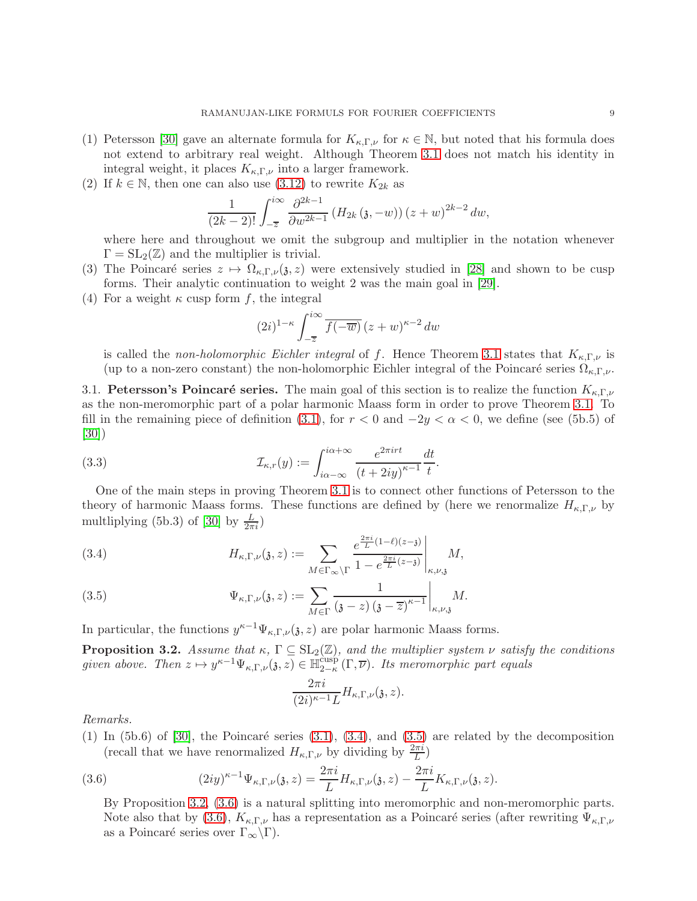- (1) Petersson [\[30\]](#page-26-0) gave an alternate formula for  $K_{\kappa,\Gamma,\nu}$  for  $\kappa \in \mathbb{N}$ , but noted that his formula does not extend to arbitrary real weight. Although Theorem [3.1](#page-7-3) does not match his identity in integral weight, it places  $K_{\kappa,\Gamma,\nu}$  into a larger framework.
- (2) If  $k \in \mathbb{N}$ , then one can also use [\(3.12\)](#page-11-2) to rewrite  $K_{2k}$  as

$$
\frac{1}{(2k-2)!} \int_{-\overline{z}}^{i\infty} \frac{\partial^{2k-1}}{\partial w^{2k-1}} \left( H_{2k} (3, -w) \right) (z+w)^{2k-2} dw,
$$

where here and throughout we omit the subgroup and multiplier in the notation whenever  $\Gamma = SL_2(\mathbb{Z})$  and the multiplier is trivial.

- (3) The Poincaré series  $z \mapsto \Omega_{\kappa,\Gamma,\nu}(\mathfrak{z},z)$  were extensively studied in [\[28\]](#page-26-21) and shown to be cusp forms. Their analytic continuation to weight 2 was the main goal in [\[29\]](#page-26-22).
- (4) For a weight  $\kappa$  cusp form f, the integral

<span id="page-8-2"></span>
$$
(2i)^{1-\kappa} \int_{-\overline{z}}^{i\infty} \overline{f(-\overline{w})} \left(z+w\right)^{\kappa-2} dw
$$

is called the non-holomorphic Eichler integral of f. Hence Theorem [3.1](#page-7-3) states that  $K_{\kappa,\Gamma,\nu}$  is (up to a non-zero constant) the non-holomorphic Eichler integral of the Poincaré series  $\Omega_{\kappa,\Gamma,\nu}$ .

3.1. Petersson's Poincaré series. The main goal of this section is to realize the function  $K_{\kappa,\Gamma,\nu}$ as the non-meromorphic part of a polar harmonic Maass form in order to prove Theorem [3.1.](#page-7-3) To fill in the remaining piece of definition [\(3.1\)](#page-7-4), for  $r < 0$  and  $-2y < \alpha < 0$ , we define (see (5b.5) of [\[30\]](#page-26-0))

(3.3) 
$$
\mathcal{I}_{\kappa,r}(y) := \int_{i\alpha-\infty}^{i\alpha+\infty} \frac{e^{2\pi i r t}}{(t+2iy)^{\kappa-1}} \frac{dt}{t}.
$$

One of the main steps in proving Theorem [3.1](#page-7-3) is to connect other functions of Petersson to the theory of harmonic Maass forms. These functions are defined by (here we renormalize  $H_{\kappa,\Gamma,\nu}$  by multliplying (5b.3) of [\[30\]](#page-26-0) by  $\frac{L}{2\pi i}$ )

<span id="page-8-0"></span>(3.4) 
$$
H_{\kappa,\Gamma,\nu}(\mathfrak{z},z) := \sum_{M \in \Gamma_{\infty} \backslash \Gamma} \frac{e^{\frac{2\pi i}{L}(1-\ell)(z-\mathfrak{z})}}{1-e^{\frac{2\pi i}{L}(z-\mathfrak{z})}} \bigg|_{\kappa,\nu,\mathfrak{z}} M,
$$

<span id="page-8-1"></span>(3.5) 
$$
\Psi_{\kappa,\Gamma,\nu}(\mathfrak{z},z) := \sum_{M \in \Gamma} \frac{1}{(\mathfrak{z}-z)(\mathfrak{z}-\overline{z})^{\kappa-1}} \bigg|_{\kappa,\nu,\mathfrak{z}} M.
$$

In particular, the functions  $y^{\kappa-1}\Psi_{\kappa,\Gamma,\nu}(\mathfrak{z},z)$  are polar harmonic Maass forms.

<span id="page-8-3"></span>**Proposition 3.2.** Assume that  $\kappa$ ,  $\Gamma \subseteq SL_2(\mathbb{Z})$ , and the multiplier system  $\nu$  satisfy the conditions given above. Then  $z \mapsto y^{\kappa-1} \Psi_{\kappa,\Gamma,\nu}(\mathfrak{z},z) \in \mathbb{H}_{2-\kappa}^{\text{cusp}}$  $\sum_{2-\kappa}^{\text{cusp}} (\Gamma, \overline{\nu})$ . Its meromorphic part equals

$$
\frac{2\pi i}{(2i)^{\kappa-1}L}H_{\kappa,\Gamma,\nu}(\mathfrak{z},z).
$$

Remarks.

(1) In (5b.6) of [\[30\]](#page-26-0), the Poincaré series [\(3.1\)](#page-7-4), [\(3.4\)](#page-8-0), and [\(3.5\)](#page-8-1) are related by the decomposition (recall that we have renormalized  $H_{\kappa,\Gamma,\nu}$  by dividing by  $\frac{2\pi i}{L}$ )

(3.6) 
$$
(2iy)^{\kappa-1}\Psi_{\kappa,\Gamma,\nu}(\mathfrak{z},z)=\frac{2\pi i}{L}H_{\kappa,\Gamma,\nu}(\mathfrak{z},z)-\frac{2\pi i}{L}K_{\kappa,\Gamma,\nu}(\mathfrak{z},z).
$$

<span id="page-8-4"></span>By Proposition [3.2,](#page-8-3) [\(3.6\)](#page-8-4) is a natural splitting into meromorphic and non-meromorphic parts. Note also that by [\(3.6\)](#page-8-4),  $K_{\kappa,\Gamma,\nu}$  has a representation as a Poincaré series (after rewriting  $\Psi_{\kappa,\Gamma,\nu}$ as a Poincaré series over  $\Gamma_{\infty}\backslash\Gamma$ ).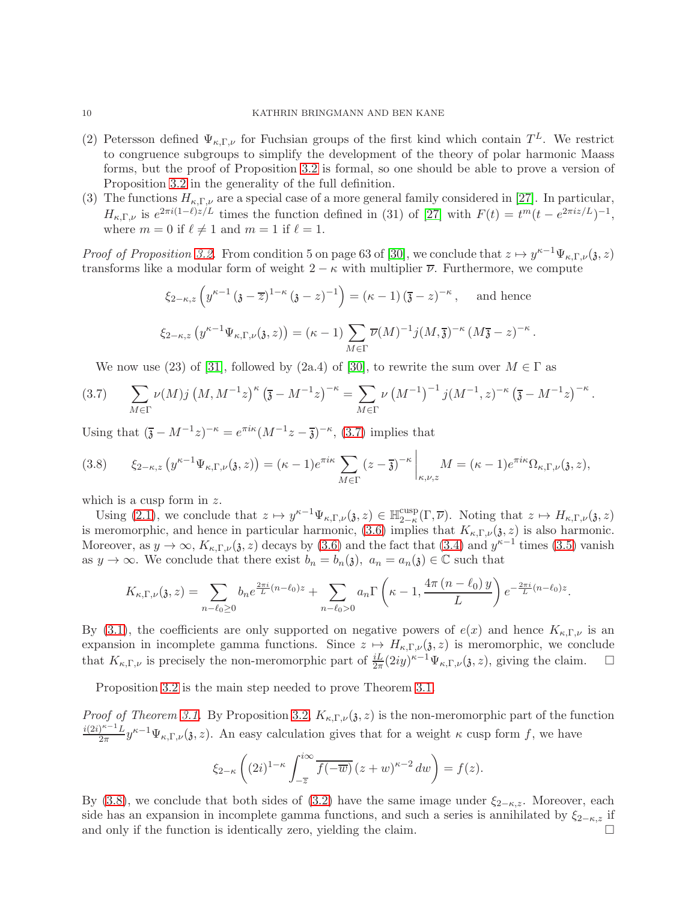- (2) Petersson defined  $\Psi_{\kappa,\Gamma,\nu}$  for Fuchsian groups of the first kind which contain  $T^L$ . We restrict to congruence subgroups to simplify the development of the theory of polar harmonic Maass forms, but the proof of Proposition [3.2](#page-8-3) is formal, so one should be able to prove a version of Proposition [3.2](#page-8-3) in the generality of the full definition.
- (3) The functions  $H_{\kappa,\Gamma,\nu}$  are a special case of a more general family considered in [\[27\]](#page-26-23). In particular,  $H_{\kappa,\Gamma,\nu}$  is  $e^{2\pi i(1-\ell)z/L}$  times the function defined in (31) of [\[27\]](#page-26-23) with  $F(t) = t^m(t - e^{2\pi i z/L})^{-1}$ , where  $m = 0$  if  $\ell \neq 1$  and  $m = 1$  if  $\ell = 1$ .

*Proof of Proposition [3.2.](#page-8-3)* From condition 5 on page 63 of [\[30\]](#page-26-0), we conclude that  $z \mapsto y^{\kappa-1}\Psi_{\kappa,\Gamma,\nu}(\mathfrak{z},z)$ transforms like a modular form of weight  $2 - \kappa$  with multiplier  $\overline{\nu}$ . Furthermore, we compute

$$
\xi_{2-\kappa,z} \left( y^{\kappa-1} \left( \mathfrak{z} - \overline{z} \right)^{1-\kappa} \left( \mathfrak{z} - z \right)^{-1} \right) = (\kappa - 1) \left( \overline{\mathfrak{z}} - z \right)^{-\kappa}, \quad \text{and hence}
$$
  

$$
\xi_{2-\kappa,z} \left( y^{\kappa-1} \Psi_{\kappa,\Gamma,\nu}(\mathfrak{z},z) \right) = (\kappa - 1) \sum_{M \in \Gamma} \overline{\nu}(M)^{-1} j(M, \overline{\mathfrak{z}})^{-\kappa} (M\overline{\mathfrak{z}} - z)^{-\kappa}.
$$

<span id="page-9-0"></span>We now use (23) of [\[31\]](#page-26-24), followed by (2a.4) of [\[30\]](#page-26-0), to rewrite the sum over  $M \in \Gamma$  as

$$
(3.7) \qquad \sum_{M \in \Gamma} \nu(M) j \left( M, M^{-1} z \right)^{\kappa} \left( \overline{\mathfrak{z}} - M^{-1} z \right)^{-\kappa} = \sum_{M \in \Gamma} \nu \left( M^{-1} \right)^{-1} j (M^{-1}, z)^{-\kappa} \left( \overline{\mathfrak{z}} - M^{-1} z \right)^{-\kappa}.
$$

Using that  $(\bar{\mathfrak{z}} - M^{-1}z)^{-\kappa} = e^{\pi i \kappa} (M^{-1}z - \bar{\mathfrak{z}})^{-\kappa},$  [\(3.7\)](#page-9-0) implies that

<span id="page-9-1"></span>
$$
(3.8) \qquad \xi_{2-\kappa,z}\left(y^{\kappa-1}\Psi_{\kappa,\Gamma,\nu}(3,z)\right)=(\kappa-1)e^{\pi i\kappa}\sum_{M\in\Gamma}(z-\overline{\mathfrak{z}})^{-\kappa}\bigg|_{\kappa,\nu,z}M=(\kappa-1)e^{\pi i\kappa}\Omega_{\kappa,\Gamma,\nu}(3,z),
$$

which is a cusp form in z.

Using  $(2.1)$ , we conclude that  $z \mapsto y^{\kappa-1}\Psi_{\kappa,\Gamma,\nu}(\mathfrak{z},z) \in \mathbb{H}_{2-\kappa}^{\text{cusp}}$  $\frac{\text{cusp}}{2-\kappa}(\Gamma,\overline{\nu})$ . Noting that  $z \mapsto H_{\kappa,\Gamma,\nu}(\mathfrak{z},z)$ is meromorphic, and hence in particular harmonic, [\(3.6\)](#page-8-4) implies that  $K_{\kappa,\Gamma,\nu}(\mathfrak{z},z)$  is also harmonic. Moreover, as  $y \to \infty$ ,  $K_{\kappa,\Gamma,\nu}(\mathfrak{z},z)$  decays by [\(3.6\)](#page-8-4) and the fact that [\(3.4\)](#page-8-0) and  $y^{\kappa-1}$  times [\(3.5\)](#page-8-1) vanish as  $y \to \infty$ . We conclude that there exist  $b_n = b_n(\mathfrak{z})$ ,  $a_n = a_n(\mathfrak{z}) \in \mathbb{C}$  such that

$$
K_{\kappa,\Gamma,\nu}(\mathfrak{z},z) = \sum_{n-\ell_0\geq 0} b_n e^{\frac{2\pi i}{L}(n-\ell_0)z} + \sum_{n-\ell_0>0} a_n \Gamma\left(\kappa-1,\frac{4\pi (n-\ell_0) y}{L}\right) e^{-\frac{2\pi i}{L}(n-\ell_0)z}.
$$

By [\(3.1\)](#page-7-4), the coefficients are only supported on negative powers of  $e(x)$  and hence  $K_{\kappa,\Gamma,\nu}$  is an expansion in incomplete gamma functions. Since  $z \mapsto H_{\kappa,\Gamma,\nu}(\mathfrak{z}, z)$  is meromorphic, we conclude that  $K_{\kappa,\Gamma,\nu}$  is precisely the non-meromorphic part of  $\frac{iL}{2\pi}(2iy)^{\kappa-1}\Psi_{\kappa,\Gamma,\nu}(\mathfrak{z},z)$ , giving the claim.  $\Box$ 

Proposition [3.2](#page-8-3) is the main step needed to prove Theorem [3.1.](#page-7-3)

*Proof of Theorem [3.1.](#page-7-3)* By Proposition [3.2,](#page-8-3)  $K_{\kappa,\Gamma,\nu}(\mathfrak{z},z)$  is the non-meromorphic part of the function  $i(2i)^{\kappa-1}L$  $\frac{\partial^{k-1} L}{\partial x^k} y^{k-1} \Psi_{k,\Gamma,\nu}(\mathfrak{z},z)$ . An easy calculation gives that for a weight  $k$  cusp form f, we have

$$
\xi_{2-\kappa}\left((2i)^{1-\kappa}\int_{-\overline{z}}^{i\infty}\overline{f(-\overline{w})}\,(z+w)^{\kappa-2}\,dw\right)=f(z).
$$

By [\(3.8\)](#page-9-1), we conclude that both sides of [\(3.2\)](#page-7-5) have the same image under  $\xi_{2-\kappa,z}$ . Moreover, each side has an expansion in incomplete gamma functions, and such a series is annihilated by  $\xi_{2-\kappa,z}$  if<br>and only if the function is identically zero, yielding the claim and only if the function is identically zero, yielding the claim.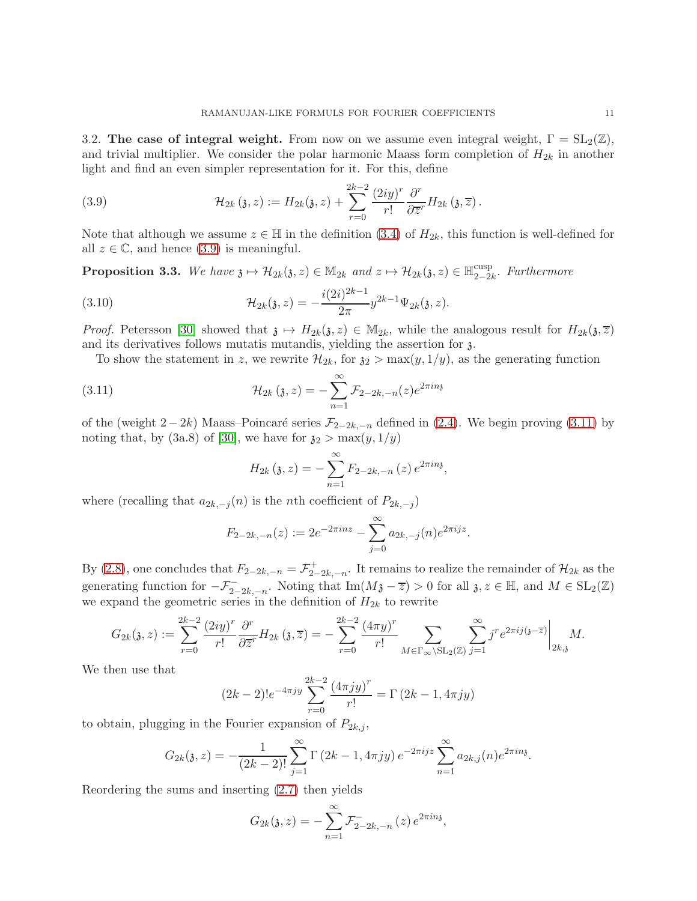3.2. The case of integral weight. From now on we assume even integral weight,  $\Gamma = SL_2(\mathbb{Z})$ , and trivial multiplier. We consider the polar harmonic Maass form completion of  $H_{2k}$  in another light and find an even simpler representation for it. For this, define

<span id="page-10-0"></span>(3.9) 
$$
\mathcal{H}_{2k}(\mathfrak{z},z) := H_{2k}(\mathfrak{z},z) + \sum_{r=0}^{2k-2} \frac{(2iy)^r}{r!} \frac{\partial^r}{\partial \overline{z}^r} H_{2k}(\mathfrak{z},\overline{z}).
$$

Note that although we assume  $z \in \mathbb{H}$  in the definition [\(3.4\)](#page-8-0) of  $H_{2k}$ , this function is well-defined for all  $z \in \mathbb{C}$ , and hence [\(3.9\)](#page-10-0) is meaningful.

<span id="page-10-3"></span>**Proposition 3.3.** We have  $\mathfrak{z} \mapsto \mathcal{H}_{2k}(\mathfrak{z}, z) \in M_{2k}$  and  $z \mapsto \mathcal{H}_{2k}(\mathfrak{z}, z) \in \mathbb{H}_{2-2i}^{\text{cusp}}$  $_{2-2k}^{cusp}$ . Furthermore

(3.10) 
$$
\mathcal{H}_{2k}(\mathfrak{z},z) = -\frac{i(2i)^{2k-1}}{2\pi}y^{2k-1}\Psi_{2k}(\mathfrak{z},z).
$$

*Proof.* Petersson [\[30\]](#page-26-0) showed that  $\mathfrak{z} \mapsto H_{2k}(\mathfrak{z}, z) \in M_{2k}$ , while the analogous result for  $H_{2k}(\mathfrak{z}, \overline{z})$ and its derivatives follows mutatis mutandis, yielding the assertion for  $\lambda$ .

To show the statement in z, we rewrite  $\mathcal{H}_{2k}$ , for  $\mathfrak{z}_2 > \max(y, 1/y)$ , as the generating function

(3.11) 
$$
\mathcal{H}_{2k}(\mathfrak{z},z) = -\sum_{n=1}^{\infty} \mathcal{F}_{2-2k,-n}(z) e^{2\pi i n \mathfrak{z}}
$$

of the (weight 2−2k) Maass–Poincaré series  $\mathcal{F}_{2-2k,-n}$  defined in [\(2.4\)](#page-6-2). We begin proving [\(3.11\)](#page-10-1) by noting that, by (3a.8) of [\[30\]](#page-26-0), we have for  $\mathfrak{z}_2 > \max(y, 1/y)$ 

<span id="page-10-2"></span><span id="page-10-1"></span>
$$
H_{2k} (3, z) = - \sum_{n=1}^{\infty} F_{2-2k, -n} (z) e^{2\pi i n3},
$$

where (recalling that  $a_{2k,-j}(n)$  is the *n*th coefficient of  $P_{2k,-j}$ )

$$
F_{2-2k,-n}(z) := 2e^{-2\pi i n z} - \sum_{j=0}^{\infty} a_{2k,-j}(n)e^{2\pi i j z}.
$$

By [\(2.8\)](#page-7-2), one concludes that  $F_{2-2k,-n} = \mathcal{F}_{2-}^+$  $\tau_{2-2k,-n}^+$ . It remains to realize the remainder of  $\mathcal{H}_{2k}$  as the generating function for  $-\mathcal{F}_{2-2k,-n}^-$ . Noting that  $\text{Im}(M\mathfrak{z}-\overline{z})>0$  for all  $\mathfrak{z}, z \in \mathbb{H}$ , and  $M \in SL_2(\mathbb{Z})$ we expand the geometric series in the definition of  $H_{2k}$  to rewrite

$$
G_{2k}(\mathfrak{z},z) := \sum_{r=0}^{2k-2} \frac{(2iy)^r}{r!} \frac{\partial^r}{\partial \overline{z}^r} H_{2k}(\mathfrak{z},\overline{z}) = -\sum_{r=0}^{2k-2} \frac{(4\pi y)^r}{r!} \sum_{M \in \Gamma_{\infty} \backslash \mathrm{SL}_2(\mathbb{Z})} \sum_{j=1}^{\infty} j^r e^{2\pi i j} (\mathfrak{z}-\overline{z}) \Big|_{2k,\mathfrak{z}} M.
$$

We then use that

$$
(2k-2)!e^{-4\pi jy}\sum_{r=0}^{2k-2}\frac{(4\pi jy)^r}{r!}=\Gamma(2k-1,4\pi jy)
$$

to obtain, plugging in the Fourier expansion of  $P_{2k,j}$ ,

$$
G_{2k}(\mathfrak{z},z) = -\frac{1}{(2k-2)!} \sum_{j=1}^{\infty} \Gamma(2k-1,4\pi jy) e^{-2\pi i jz} \sum_{n=1}^{\infty} a_{2k,j}(n) e^{2\pi i n\mathfrak{z}}.
$$

Reordering the sums and inserting [\(2.7\)](#page-7-6) then yields

$$
G_{2k}(\mathfrak{z}, z) = -\sum_{n=1}^{\infty} \mathcal{F}_{2-2k, -n}^{-}(z) e^{2\pi i n \mathfrak{z}},
$$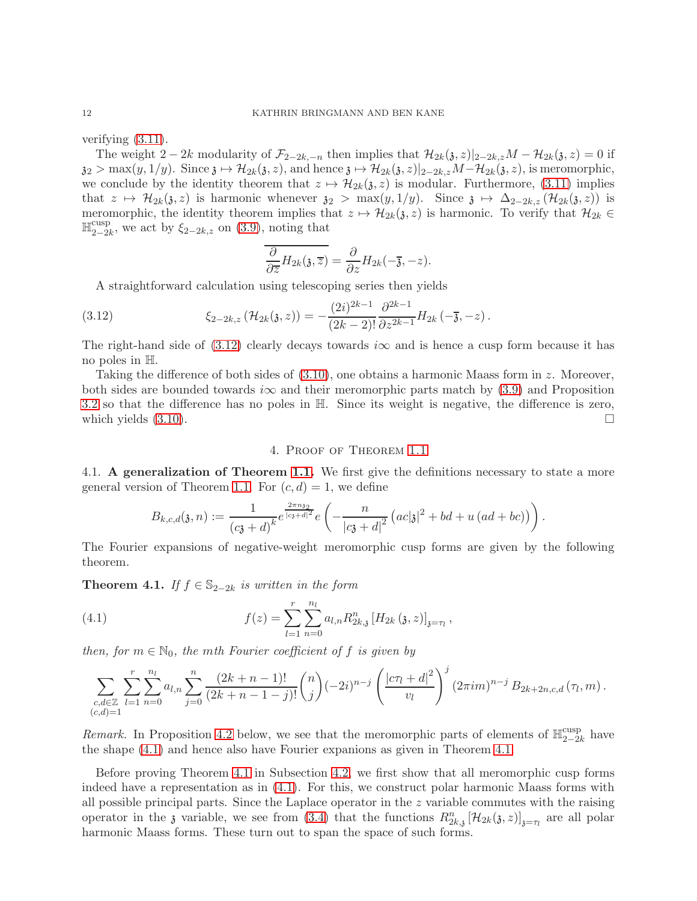verifying [\(3.11\)](#page-10-1).

The weight 2 − 2k modularity of  $\mathcal{F}_{2-2k,-n}$  then implies that  $\mathcal{H}_{2k}(\mathfrak{z}, z)|_{2-2k,z}M - \mathcal{H}_{2k}(\mathfrak{z}, z) = 0$  if  $z_2 > \max(y, 1/y)$ . Since  $z \mapsto H_{2k}(z, z)$ , and hence  $z \mapsto H_{2k}(z, z)|_{z=2k, z}M-\mathcal{H}_{2k}(z, z)$ , is meromorphic, we conclude by the identity theorem that  $z \mapsto \mathcal{H}_{2k}(\mathfrak{z}, z)$  is modular. Furthermore, [\(3.11\)](#page-10-1) implies that  $z \mapsto \mathcal{H}_{2k}(\mathfrak{z}, z)$  is harmonic whenever  $\mathfrak{z}_2 > \max(y, 1/y)$ . Since  $\mathfrak{z} \mapsto \Delta_{2-2k, z} (\mathcal{H}_{2k}(\mathfrak{z}, z))$  is meromorphic, the identity theorem implies that  $z \mapsto \mathcal{H}_{2k}(\mathfrak{z}, z)$  is harmonic. To verify that  $\mathcal{H}_{2k} \in$  $\mathbb{H}_{2-2}^{\text{cusp}}$  $\sum_{2-2k}^{\text{cusp}}$ , we act by  $\xi_{2-2k,z}$  on [\(3.9\)](#page-10-0), noting that

<span id="page-11-2"></span>
$$
\overline{\frac{\partial}{\partial \overline{z}}H_{2k}(\mathfrak{z},\overline{z})}=\frac{\partial}{\partial z}H_{2k}(-\overline{\mathfrak{z}},-z).
$$

A straightforward calculation using telescoping series then yields

(3.12) 
$$
\xi_{2-2k,z}(\mathcal{H}_{2k}(3,z)) = -\frac{(2i)^{2k-1}}{(2k-2)!} \frac{\partial^{2k-1}}{\partial z^{2k-1}} H_{2k}(-\overline{j},-z).
$$

The right-hand side of  $(3.12)$  clearly decays towards  $i\infty$  and is hence a cusp form because it has no poles in H.

Taking the difference of both sides of [\(3.10\)](#page-10-2), one obtains a harmonic Maass form in z. Moreover, both sides are bounded towards i $\infty$  and their meromorphic parts match by [\(3.9\)](#page-10-0) and Proposition [3.2](#page-8-3) so that the difference has no poles in H. Since its weight is negative, the difference is zero, which yields  $(3.10)$ .

#### 4. Proof of Theorem [1.1](#page-3-0)

<span id="page-11-1"></span>4.1. A generalization of Theorem [1.1.](#page-3-0) We first give the definitions necessary to state a more general version of Theorem [1.1.](#page-3-0) For  $(c, d) = 1$ , we define

<span id="page-11-3"></span>
$$
B_{k,c,d}(\mathfrak{z},n) := \frac{1}{(c\mathfrak{z}+d)^k} e^{\frac{2\pi n \mathfrak{z}_2}{|c\mathfrak{z}+d|^2}} e\left(-\frac{n}{|c\mathfrak{z}+d|^2} \left(ac|\mathfrak{z}|^2 + bd + u\left(ad+bc\right)\right)\right).
$$

The Fourier expansions of negative-weight meromorphic cusp forms are given by the following theorem.

<span id="page-11-0"></span>**Theorem 4.1.** If  $f \in \mathbb{S}_{2-2k}$  is written in the form

(4.1) 
$$
f(z) = \sum_{l=1}^{r} \sum_{n=0}^{n_l} a_{l,n} R_{2k,\mathfrak{z}}^n [H_{2k}(\mathfrak{z}, z)]_{\mathfrak{z}=\tau_l},
$$

then, for  $m \in \mathbb{N}_0$ , the mth Fourier coefficient of f is given by

$$
\sum_{\substack{c,d\in\mathbb{Z}\\(c,d)=1}}\sum_{l=1}^r\sum_{n=0}^{n_l}a_{l,n}\sum_{j=0}^n\frac{(2k+n-1)!}{(2k+n-1-j)!}\binom{n}{j}(-2i)^{n-j}\left(\frac{|c\tau_l+d|^2}{v_l}\right)^j(2\pi im)^{n-j}B_{2k+2n,c,d}(\tau_l,m).
$$

Remark. In Proposition [4.2](#page-12-0) below, we see that the meromorphic parts of elements of  $\mathbb{H}_{2-2}^{\text{cusp}}$  $_{2-2k}^{\text{cusp}}$  have the shape [\(4.1\)](#page-11-3) and hence also have Fourier expanions as given in Theorem [4.1.](#page-11-0)

Before proving Theorem [4.1](#page-11-0) in Subsection [4.2,](#page-13-0) we first show that all meromorphic cusp forms indeed have a representation as in [\(4.1\)](#page-11-3). For this, we construct polar harmonic Maass forms with all possible principal parts. Since the Laplace operator in the z variable commutes with the raising operator in the  $\jmath$  variable, we see from [\(3.4\)](#page-8-0) that the functions  $R_{2k,j}^n[\mathcal{H}_{2k}(\jmath,z)]_{\jmath=\tau_l}$  are all polar harmonic Maass forms. These turn out to span the space of such forms.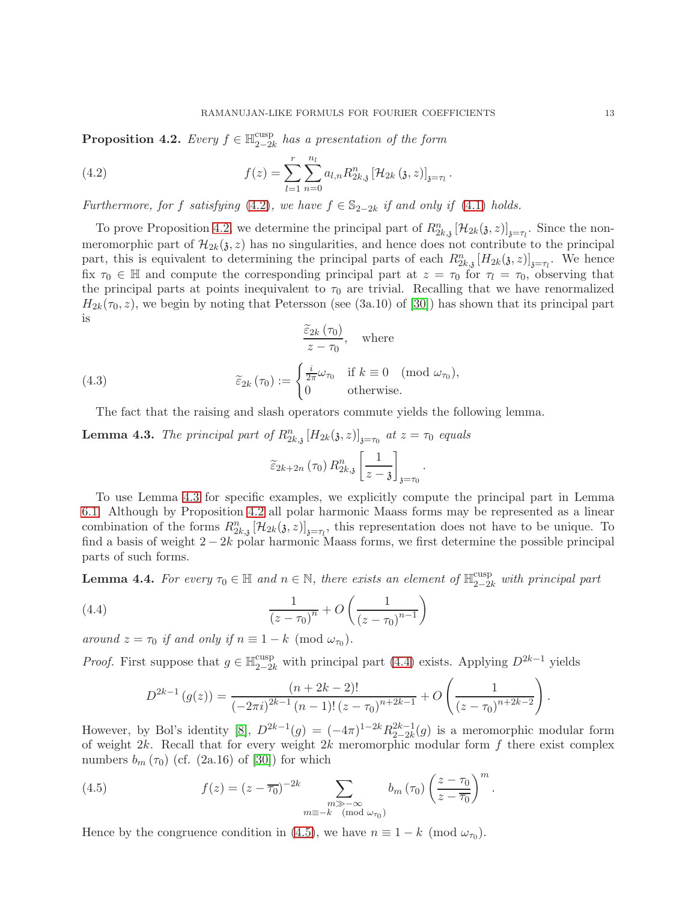<span id="page-12-0"></span>Proposition 4.2. Every  $f \in \mathbb{H}_{2-2i}^{\text{cusp}}$  $\frac{2-2k}{2-2k}$  has a presentation of the form

<span id="page-12-2"></span>(4.2) 
$$
f(z) = \sum_{l=1}^{r} \sum_{n=0}^{n_l} a_{l,n} R_{2k,\mathfrak{z}}^n \left[ \mathcal{H}_{2k} \left( \mathfrak{z}, z \right) \right]_{\mathfrak{z} = \tau_l}.
$$

Furthermore, for f satisfying [\(4.2\)](#page-12-2), we have  $f \in \mathbb{S}_{2-2k}$  if and only if [\(4.1\)](#page-11-3) holds.

To prove Proposition [4.2,](#page-12-0) we determine the principal part of  $R_{2k,j}^n [\mathcal{H}_{2k}(\mathfrak{z}, z)]_{\mathfrak{z}=\tau_l}$ . Since the nonmeromorphic part of  $\mathcal{H}_{2k}(\mathfrak{z}, z)$  has no singularities, and hence does not contribute to the principal part, this is equivalent to determining the principal parts of each  $R_{2k,3}^n[H_{2k}(3,z)]_{3=\tau_l}$ . We hence fix  $\tau_0 \in \mathbb{H}$  and compute the corresponding principal part at  $z = \tau_0$  for  $\tau_1 = \tau_0$ , observing that the principal parts at points inequivalent to  $\tau_0$  are trivial. Recalling that we have renormalized  $H_{2k}(\tau_0, z)$ , we begin by noting that Petersson (see (3a.10) of [\[30\]](#page-26-0)) has shown that its principal part is

(4.3) 
$$
\frac{\widetilde{\varepsilon}_{2k}(\tau_0)}{\widetilde{\varepsilon}_{2k}(\tau_0)} = \begin{cases} \frac{i}{2\pi}\omega_{\tau_0} & \text{if } k \equiv 0 \pmod{\omega_{\tau_0}}, \\ 0 & \text{otherwise.} \end{cases}
$$

The fact that the raising and slash operators commute yields the following lemma.

<span id="page-12-3"></span>**Lemma 4.3.** The principal part of  $R_{2k,3}^n[H_{2k}(3, z)]_{3=\tau_0}$  at  $z = \tau_0$  equals

<span id="page-12-6"></span>
$$
\widetilde{\varepsilon}_{2k+2n}\left(\tau_{0}\right)R_{2k,\mathfrak{z}}^{n}\left[\frac{1}{z-\mathfrak{z}}\right]_{\mathfrak{z}=\tau_{0}}
$$

.

To use Lemma [4.3](#page-12-3) for specific examples, we explicitly compute the principal part in Lemma [6.1.](#page-17-1) Although by Proposition [4.2](#page-12-0) all polar harmonic Maass forms may be represented as a linear combination of the forms  $R_{2k,3}^n [\mathcal{H}_{2k}(\mathfrak{z}, z)]_{\mathfrak{z}=\tau_l}$ , this representation does not have to be unique. To find a basis of weight  $2 - 2k$  polar harmonic Maass forms, we first determine the possible principal parts of such forms.

<span id="page-12-5"></span>**Lemma 4.4.** For every  $\tau_0 \in \mathbb{H}$  and  $n \in \mathbb{N}$ , there exists an element of  $\mathbb{H}_{2-2k}^{\text{cusp}}$  with principal part

(4.4) 
$$
\frac{1}{(z-\tau_0)^n} + O\left(\frac{1}{(z-\tau_0)^{n-1}}\right)
$$

around  $z = \tau_0$  if and only if  $n \equiv 1 - k \pmod{\omega_{\tau_0}}$ .

*Proof.* First suppose that  $g \in \mathbb{H}_{2-2k}^{\text{cusp}}$  with principal part [\(4.4\)](#page-12-4) exists. Applying  $D^{2k-1}$  yields

<span id="page-12-4"></span><span id="page-12-1"></span>
$$
D^{2k-1}(g(z)) = \frac{(n+2k-2)!}{(-2\pi i)^{2k-1}(n-1)!(z-\tau_0)^{n+2k-1}} + O\left(\frac{1}{(z-\tau_0)^{n+2k-2}}\right).
$$

However, by Bol's identity [\[8\]](#page-25-8),  $D^{2k-1}(g) = (-4\pi)^{1-2k} R_{2-2k}^{2k-1}$  $2^{2k-1}_{2-2k}(g)$  is a meromorphic modular form of weight  $2k$ . Recall that for every weight  $2k$  meromorphic modular form f there exist complex numbers  $b_m(\tau_0)$  (cf. (2a.16) of [\[30\]](#page-26-0)) for which

(4.5) 
$$
f(z) = (z - \overline{\tau_0})^{-2k} \sum_{\substack{m \gg -\infty \\ m \equiv -k \pmod{\omega_{\tau_0}}} b_m(\tau_0) \left(\frac{z - \tau_0}{z - \overline{\tau_0}}\right)^m.
$$

Hence by the congruence condition in [\(4.5\)](#page-12-1), we have  $n \equiv 1 - k \pmod{\omega_{\tau_0}}$ .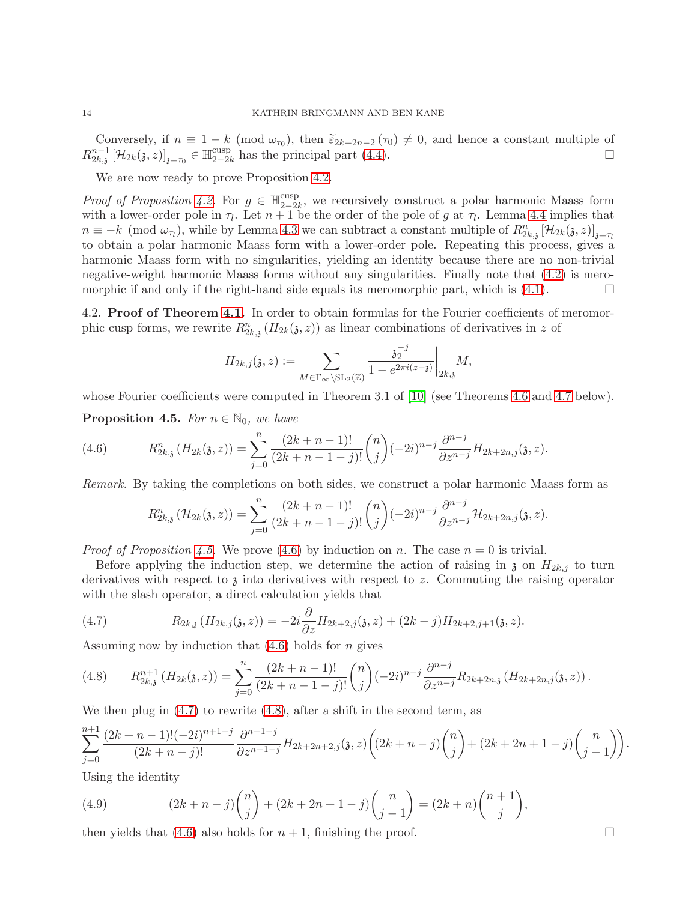Conversely, if  $n \equiv 1 - k \pmod{\omega_{\tau_0}}$ , then  $\tilde{\varepsilon}_{2k+2n-2}(\tau_0) \neq 0$ , and hence a constant multiple of  $R^{n-1}_{2k,3} \left[ \mathcal{H}_{2k}(\mathfrak{z},z) \right]_{\mathfrak{z}=\tau_0} \in \mathbb{H}^{\mathrm{cusp}}_{2-2k}$  $\sup_{2-2k}$  has the principal part [\(4.4\)](#page-12-4).

We are now ready to prove Proposition [4.2.](#page-12-0)

*Proof of Proposition [4.2.](#page-12-0)* For  $g \in \mathbb{H}_{2-2}^{\text{cusp}}$  $2-2k$ , we recursively construct a polar harmonic Maass form with a lower-order pole in  $\tau_l$ . Let  $n+1$  be the order of the pole of g at  $\tau_l$ . Lemma [4.4](#page-12-5) implies that  $n \equiv -k \pmod{\omega_{\tau}}$ , while by Lemma [4.3](#page-12-3) we can subtract a constant multiple of  $R_{2k,3}^n [\mathcal{H}_{2k}(3,z)]_{3=\tau_{1k}}$ to obtain a polar harmonic Maass form with a lower-order pole. Repeating this process, gives a harmonic Maass form with no singularities, yielding an identity because there are no non-trivial negative-weight harmonic Maass forms without any singularities. Finally note that [\(4.2\)](#page-12-2) is meromorphic if and only if the right-hand side equals its meromorphic part, which is  $(4.1)$ .

<span id="page-13-0"></span>4.2. Proof of Theorem [4.1.](#page-11-0) In order to obtain formulas for the Fourier coefficients of meromorphic cusp forms, we rewrite  $R_{2k,3}^n(H_{2k}(\mathfrak{z},z))$  as linear combinations of derivatives in z of

$$
H_{2k,j}(\mathfrak{z},z) := \sum_{M \in \Gamma_{\infty} \backslash \mathrm{SL}_2(\mathbb{Z})} \frac{\mathfrak{z}_2^{-j}}{1 - e^{2\pi i (z - \mathfrak{z})}} \bigg|_{2k,\mathfrak{z}} M,
$$

whose Fourier coefficients were computed in Theorem 3.1 of [\[10\]](#page-25-3) (see Theorems [4.6](#page-14-3) and [4.7](#page-14-4) below).

<span id="page-13-1"></span>**Proposition 4.5.** For  $n \in \mathbb{N}_0$ , we have

(4.6) 
$$
R_{2k,3}^n(H_{2k}(3,z)) = \sum_{j=0}^n \frac{(2k+n-1)!}{(2k+n-1-j)!} \binom{n}{j} (-2i)^{n-j} \frac{\partial^{n-j}}{\partial z^{n-j}} H_{2k+2n,j}(3,z).
$$

Remark. By taking the completions on both sides, we construct a polar harmonic Maass form as

<span id="page-13-2"></span>
$$
R_{2k,3}^n(\mathcal{H}_{2k}(3,z)) = \sum_{j=0}^n \frac{(2k+n-1)!}{(2k+n-1-j)!} \binom{n}{j} (-2i)^{n-j} \frac{\partial^{n-j}}{\partial z^{n-j}} \mathcal{H}_{2k+2n,j}(3,z).
$$

*Proof of Proposition [4.5.](#page-13-1)* We prove [\(4.6\)](#page-13-2) by induction on n. The case  $n = 0$  is trivial.

Before applying the induction step, we determine the action of raising in  $\chi$  on  $H_{2k,i}$  to turn derivatives with respect to  $\chi$  into derivatives with respect to z. Commuting the raising operator with the slash operator, a direct calculation yields that

<span id="page-13-3"></span>(4.7) 
$$
R_{2k,j}(H_{2k,j}(3,z)) = -2i\frac{\partial}{\partial z}H_{2k+2,j}(3,z) + (2k-j)H_{2k+2,j+1}(3,z).
$$

Assuming now by induction that  $(4.6)$  holds for *n* gives

<span id="page-13-4"></span>
$$
(4.8) \qquad R_{2k,3}^{n+1}(H_{2k}(3,z)) = \sum_{j=0}^{n} \frac{(2k+n-1)!}{(2k+n-1-j)!} \binom{n}{j} (-2i)^{n-j} \frac{\partial^{n-j}}{\partial z^{n-j}} R_{2k+2n,j}(H_{2k+2n,j}(3,z)).
$$

We then plug in  $(4.7)$  to rewrite  $(4.8)$ , after a shift in the second term, as

$$
\sum_{j=0}^{n+1} \frac{(2k+n-1)!(-2i)^{n+1-j}}{(2k+n-j)!} \frac{\partial^{n+1-j}}{\partial z^{n+1-j}} H_{2k+2n+2,j}(3, z) \left( (2k+n-j) \binom{n}{j} + (2k+2n+1-j) \binom{n}{j-1} \right).
$$

Using the identity

<span id="page-13-5"></span>(4.9) 
$$
(2k+n-j)\binom{n}{j} + (2k+2n+1-j)\binom{n}{j-1} = (2k+n)\binom{n+1}{j},
$$

then yields that  $(4.6)$  also holds for  $n + 1$ , finishing the proof.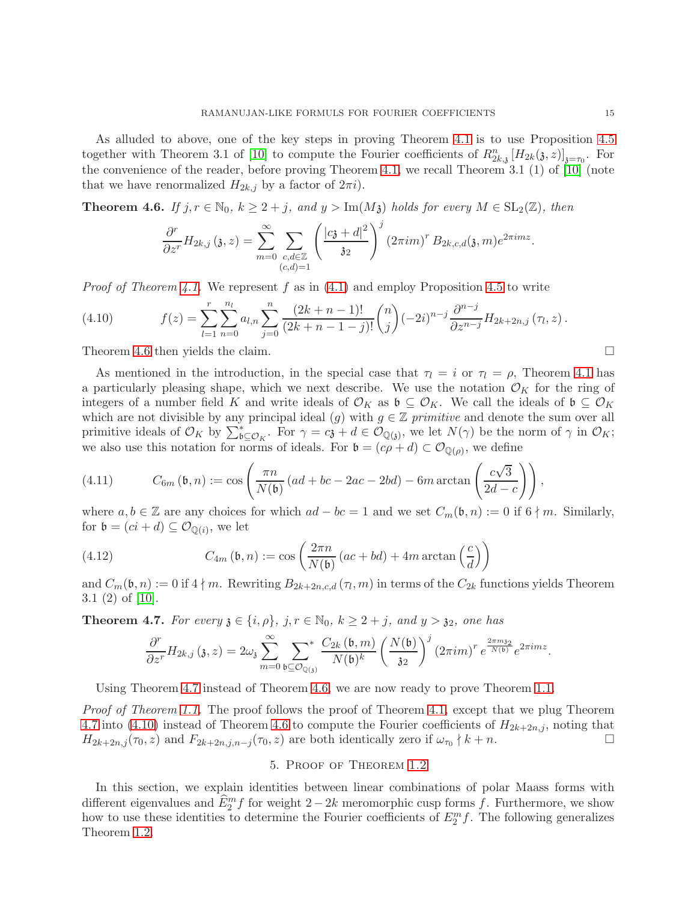As alluded to above, one of the key steps in proving Theorem [4.1](#page-11-0) is to use Proposition [4.5](#page-13-1) together with Theorem 3.1 of [\[10\]](#page-25-3) to compute the Fourier coefficients of  $R_{2k,3}^n[H_{2k}(\mathfrak{z},z)]_{\mathfrak{z}=\tau_0}$ . For the convenience of the reader, before proving Theorem [4.1,](#page-11-0) we recall Theorem 3.1 (1) of [\[10\]](#page-25-3) (note that we have renormalized  $H_{2k,j}$  by a factor of  $2\pi i$ .

<span id="page-14-3"></span>**Theorem 4.6.** If  $j, r \in \mathbb{N}_0$ ,  $k \geq 2 + j$ , and  $y > \text{Im}(M_3)$  holds for every  $M \in SL_2(\mathbb{Z})$ , then

$$
\frac{\partial^r}{\partial z^r} H_{2k,j} \left( \mathfrak{z}, z \right) = \sum_{m=0}^{\infty} \sum_{\substack{c,d \in \mathbb{Z} \\ (c,d)=1}} \left( \frac{|c\mathfrak{z}+d|^2}{\mathfrak{z}^2} \right)^j \left( 2\pi i m \right)^r B_{2k,c,d}(\mathfrak{z},m) e^{2\pi i m z}.
$$

*Proof of Theorem [4.1.](#page-11-0)* We represent f as in  $(4.1)$  and employ Proposition [4.5](#page-13-1) to write

<span id="page-14-5"></span>(4.10) 
$$
f(z) = \sum_{l=1}^{r} \sum_{n=0}^{n_l} a_{l,n} \sum_{j=0}^{n} \frac{(2k+n-1)!}{(2k+n-1-j)!} {n \choose j} (-2i)^{n-j} \frac{\partial^{n-j}}{\partial z^{n-j}} H_{2k+2n,j}(\tau_l, z).
$$

Theorem [4.6](#page-14-3) then yields the claim.

As mentioned in the introduction, in the special case that  $\tau_l = i$  or  $\tau_l = \rho$ , Theorem [4.1](#page-11-0) has a particularly pleasing shape, which we next describe. We use the notation  $\mathcal{O}_K$  for the ring of integers of a number field K and write ideals of  $\mathcal{O}_K$  as  $\mathfrak{b} \subseteq \mathcal{O}_K$ . We call the ideals of  $\mathfrak{b} \subseteq \mathcal{O}_K$ which are not divisible by any principal ideal (g) with  $g \in \mathbb{Z}$  primitive and denote the sum over all primitive ideals of  $\mathcal{O}_K$  by  $\sum_{\mathfrak{b}\subseteq\mathcal{O}_K}^*$ . For  $\gamma=c\mathfrak{z}+d\in\mathcal{O}_{\mathbb{Q}(\mathfrak{z})}$ , we let  $N(\gamma)$  be the norm of  $\gamma$  in  $\mathcal{O}_K$ ; we also use this notation for norms of ideals. For  $\mathfrak{b} = (c\rho + d) \subset \mathcal{O}_{\mathbb{Q}(\rho)}$ , we define

<span id="page-14-0"></span>(4.11) 
$$
C_{6m}(\mathfrak{b},n) := \cos\left(\frac{\pi n}{N(\mathfrak{b})} \left(ad + bc - 2ac - 2bd\right) - 6m \arctan\left(\frac{c\sqrt{3}}{2d - c}\right)\right),
$$

where  $a, b \in \mathbb{Z}$  are any choices for which  $ad - bc = 1$  and we set  $C_m(\mathfrak{b}, n) := 0$  if  $6 \nmid m$ . Similarly, for  $\mathfrak{b} = (ci + d) \subseteq \mathcal{O}_{\mathbb{Q}(i)}$ , we let

(4.12) 
$$
C_{4m}(\mathfrak{b}, n) := \cos\left(\frac{2\pi n}{N(\mathfrak{b})} (ac + bd) + 4m \arctan\left(\frac{c}{d}\right)\right)
$$

and  $C_m(\mathfrak{b}, n) := 0$  if  $4 \nmid m$ . Rewriting  $B_{2k+2n,c,d}(\tau_l, m)$  in terms of the  $C_{2k}$  functions yields Theorem 3.1 (2) of [\[10\]](#page-25-3).

<span id="page-14-4"></span>**Theorem 4.7.** For every  $\mathfrak{z} \in \{i, \rho\}$ ,  $j, r \in \mathbb{N}_0$ ,  $k \geq 2 + j$ , and  $y > \mathfrak{z}_2$ , one has

<span id="page-14-1"></span>
$$
\frac{\partial^r}{\partial z^r}H_{2k,j}\left(\mathfrak{z},z\right)=2\omega_{\mathfrak{z}}\sum_{m=0}^{\infty}\sum_{\mathfrak{b}\subseteq\mathcal{O}_{\mathbb{Q}(\mathfrak{z})}}\frac{C_{2k}\left(\mathfrak{b},m\right)}{N(\mathfrak{b})^k}\left(\frac{N(\mathfrak{b})}{\mathfrak{z}_2}\right)^j\left(2\pi im\right)^r e^{\frac{2\pi m\mathfrak{z}_2}{N(\mathfrak{b})}}e^{2\pi imz}.
$$

Using Theorem [4.7](#page-14-4) instead of Theorem [4.6,](#page-14-3) we are now ready to prove Theorem [1.1.](#page-3-0)

Proof of Theorem [1.1.](#page-3-0) The proof follows the proof of Theorem [4.1,](#page-11-0) except that we plug Theorem [4.7](#page-14-4) into [\(4.10\)](#page-14-5) instead of Theorem [4.6](#page-14-3) to compute the Fourier coefficients of  $H_{2k+2n,j}$ , noting that  $H_{2k+2n,j}(\tau_0, z)$  and  $F_{2k+2n,j,n-j}(\tau_0, z)$  are both identically zero if  $\omega_{\tau_0} \nmid k+n$ .

#### 5. Proof of Theorem [1.2](#page-3-1)

<span id="page-14-2"></span>In this section, we explain identities between linear combinations of polar Maass forms with different eigenvalues and  $\widetilde{E}_2^m f$  for weight 2 – 2k meromorphic cusp forms f. Furthermore, we show how to use these identities to determine the Fourier coefficients of  $E_2^m f$ . The following generalizes Theorem [1.2.](#page-3-1)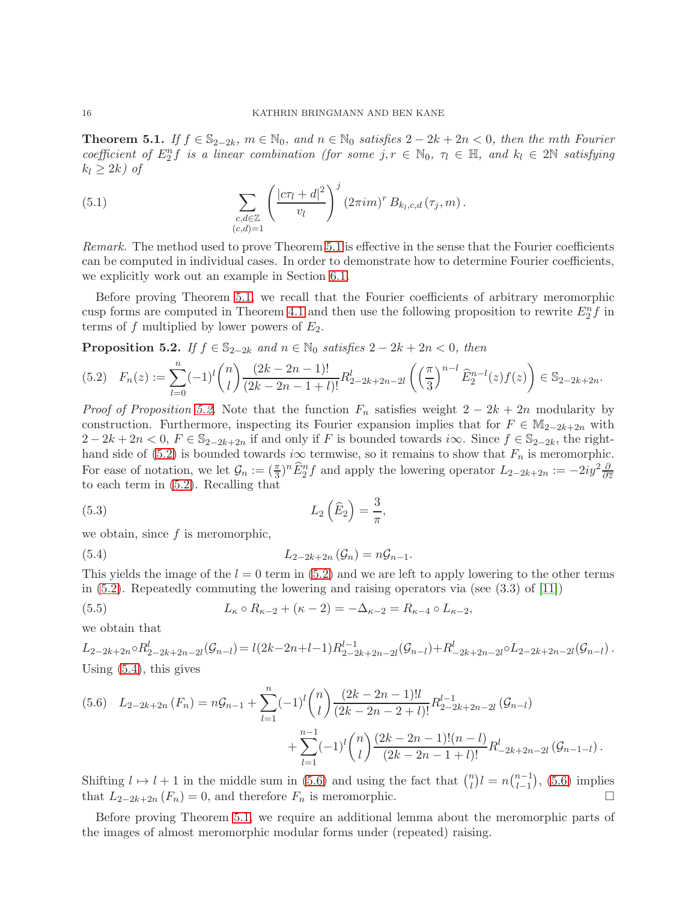<span id="page-15-0"></span>**Theorem 5.1.** If  $f \in \mathbb{S}_{2-2k}$ ,  $m \in \mathbb{N}_0$ , and  $n \in \mathbb{N}_0$  satisfies  $2-2k+2n < 0$ , then the mth Fourier coefficient of  $E_2^n f$  is a linear combination (for some j,  $r \in \mathbb{N}_0$ ,  $\tau_l \in \mathbb{H}$ , and  $k_l \in 2\mathbb{N}$  satisfying  $k_l \geq 2k$ ) of

<span id="page-15-5"></span>(5.1) 
$$
\sum_{\substack{c,d\in\mathbb{Z} \\ (c,d)=1}} \left(\frac{|c\tau_l+d|^2}{v_l}\right)^j \left(2\pi im\right)^r B_{k_l,c,d}\left(\tau_j,m\right).
$$

Remark. The method used to prove Theorem [5.1](#page-15-0) is effective in the sense that the Fourier coefficients can be computed in individual cases. In order to demonstrate how to determine Fourier coefficients, we explicitly work out an example in Section [6.1.](#page-17-2)

Before proving Theorem [5.1,](#page-15-0) we recall that the Fourier coefficients of arbitrary meromorphic cusp forms are computed in Theorem [4.1](#page-11-0) and then use the following proposition to rewrite  $E_2^n f$  in terms of f multiplied by lower powers of  $E_2$ .

<span id="page-15-1"></span>**Proposition 5.2.** If  $f \in \mathbb{S}_{2-2k}$  and  $n \in \mathbb{N}_0$  satisfies  $2 - 2k + 2n < 0$ , then

<span id="page-15-2"></span>
$$
(5.2) \quad F_n(z) := \sum_{l=0}^n (-1)^l \binom{n}{l} \frac{(2k-2n-1)!}{(2k-2n-1+l)!} R_{2-2k+2n-2l}^l \left( \left(\frac{\pi}{3}\right)^{n-l} \widehat{E}_2^{n-l}(z) f(z) \right) \in \mathbb{S}_{2-2k+2n}.
$$

*Proof of Proposition [5.2.](#page-15-1)* Note that the function  $F_n$  satisfies weight  $2 - 2k + 2n$  modularity by construction. Furthermore, inspecting its Fourier expansion implies that for  $F \in M_{2-2k+2n}$  with  $2-2k+2n<sub>0</sub>, F \in \mathbb{S}_{2-2k+2n}$  if and only if F is bounded towards i $\infty$ . Since  $f \in \mathbb{S}_{2-2k}$ , the right-hand side of [\(5.2\)](#page-15-2) is bounded towards i $\infty$  termwise, so it remains to show that  $F_n$  is meromorphic. For ease of notation, we let  $\mathcal{G}_n := (\frac{\pi}{3})^n \widehat{E}_2^n f$  and apply the lowering operator  $L_{2-2k+2n} := -2iy^2 \frac{\partial}{\partial \overline{z}_2}$ to each term in [\(5.2\)](#page-15-2). Recalling that

<span id="page-15-7"></span>(5.3) 
$$
L_2\left(\widehat{E}_2\right) = \frac{3}{\pi},
$$

we obtain, since  $f$  is meromorphic,

<span id="page-15-3"></span>(5.4) 
$$
L_{2-2k+2n}(\mathcal{G}_n)=n\mathcal{G}_{n-1}.
$$

This yields the image of the  $l = 0$  term in [\(5.2\)](#page-15-2) and we are left to apply lowering to the other terms in [\(5.2\)](#page-15-2). Repeatedly commuting the lowering and raising operators via (see (3.3) of [\[11\]](#page-25-0))

<span id="page-15-6"></span>(5.5) 
$$
L_{\kappa} \circ R_{\kappa-2} + (\kappa - 2) = -\Delta_{\kappa-2} = R_{\kappa-4} \circ L_{\kappa-2},
$$

we obtain that

$$
L_{2-2k+2n} \circ R_{2-2k+2n-2l}^{l}(\mathcal{G}_{n-l}) = l(2k-2n+l-1)R_{2-2k+2n-2l}^{l-1}(\mathcal{G}_{n-l}) + R_{2k+2n-2l}^{l} \circ L_{2-2k+2n-2l}(\mathcal{G}_{n-l}).
$$
  
Using (5.4), this gives

<span id="page-15-4"></span>
$$
(5.6) \quad L_{2-2k+2n}(F_n) = n\mathcal{G}_{n-1} + \sum_{l=1}^n (-1)^l \binom{n}{l} \frac{(2k-2n-1)!!}{(2k-2n-2+l)!} R_{2-2k+2n-2l}^{l-1}( \mathcal{G}_{n-l}) + \sum_{l=1}^{n-1} (-1)^l \binom{n}{l} \frac{(2k-2n-1)!(n-l)}{(2k-2n-1+l)!} R_{-2k+2n-2l}^l(\mathcal{G}_{n-1-l}).
$$

Shifting  $l \mapsto l + 1$  in the middle sum in [\(5.6\)](#page-15-4) and using the fact that  $\binom{n}{l}$  $\binom{n}{l}$  $l = n \binom{n-1}{l-1}$  $l-1$  , [\(5.6\)](#page-15-4) implies that  $L_{2-2k+2n}(F_n) = 0$ , and therefore  $F_n$  is meromorphic.

Before proving Theorem [5.1,](#page-15-0) we require an additional lemma about the meromorphic parts of the images of almost meromorphic modular forms under (repeated) raising.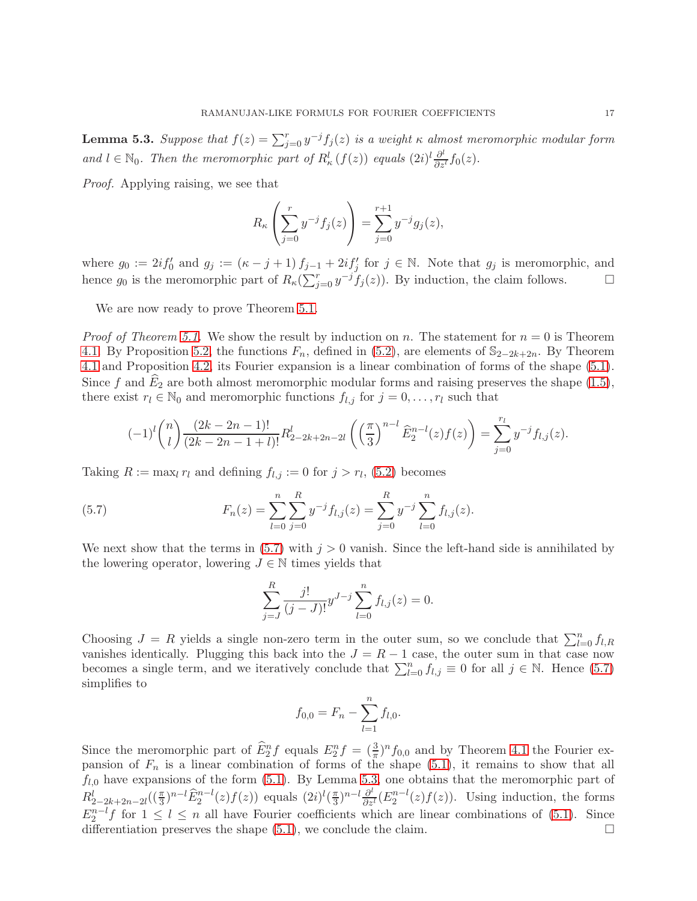<span id="page-16-1"></span>**Lemma 5.3.** Suppose that  $f(z) = \sum_{j=0}^{r} y^{-j} f_j(z)$  is a weight  $\kappa$  almost meromorphic modular form and  $l \in \mathbb{N}_0$ . Then the meromorphic part of  $R_{\kappa}^l(f(z))$  equals  $(2i)^l \frac{\partial^l}{\partial z^l} f_0(z)$ .

Proof. Applying raising, we see that

$$
R_{\kappa}\left(\sum_{j=0}^{r} y^{-j} f_j(z)\right) = \sum_{j=0}^{r+1} y^{-j} g_j(z),
$$

where  $g_0 := 2if'_0$  and  $g_j := (\kappa - j + 1) f_{j-1} + 2if'_j$  for  $j \in \mathbb{N}$ . Note that  $g_j$  is meromorphic, and hence  $g_0$  is the meromorphic part of  $R_{\kappa}(\sum_{j=0}^r y^{-j} f_j(z))$ . By induction, the claim follows.

We are now ready to prove Theorem [5.1.](#page-15-0)

*Proof of Theorem [5.1.](#page-15-0)* We show the result by induction on n. The statement for  $n = 0$  is Theorem [4.1.](#page-11-0) By Proposition [5.2,](#page-15-1) the functions  $F_n$ , defined in [\(5.2\)](#page-15-2), are elements of  $\mathbb{S}_{2-2k+2n}$ . By Theorem [4.1](#page-11-0) and Proposition [4.2,](#page-12-0) its Fourier expansion is a linear combination of forms of the shape [\(5.1\)](#page-15-5). Since f and  $\hat{E}_2$  are both almost meromorphic modular forms and raising preserves the shape [\(1.5\)](#page-4-2), there exist  $r_l \in \mathbb{N}_0$  and meromorphic functions  $f_{l,j}$  for  $j = 0, \ldots, r_l$  such that

$$
(-1)^{l}\binom{n}{l}\frac{(2k-2n-1)!}{(2k-2n-1+l)!}R_{2-2k+2n-2l}^{l}\left(\left(\frac{\pi}{3}\right)^{n-l}\widehat{E}_{2}^{n-l}(z)f(z)\right)=\sum_{j=0}^{r_{l}}y^{-j}f_{l,j}(z).
$$

Taking  $R := \max_l r_l$  and defining  $f_{l,j} := 0$  for  $j > r_l$ , [\(5.2\)](#page-15-2) becomes

(5.7) 
$$
F_n(z) = \sum_{l=0}^n \sum_{j=0}^R y^{-j} f_{l,j}(z) = \sum_{j=0}^R y^{-j} \sum_{l=0}^n f_{l,j}(z).
$$

We next show that the terms in  $(5.7)$  with  $j > 0$  vanish. Since the left-hand side is annihilated by the lowering operator, lowering  $J \in \mathbb{N}$  times yields that

<span id="page-16-0"></span>
$$
\sum_{j=J}^{R} \frac{j!}{(j-J)!} y^{J-j} \sum_{l=0}^{n} f_{l,j}(z) = 0.
$$

Choosing  $J = R$  yields a single non-zero term in the outer sum, so we conclude that  $\sum_{l=0}^{n} f_{l,R}$ vanishes identically. Plugging this back into the  $J = R - 1$  case, the outer sum in that case now becomes a single term, and we iteratively conclude that  $\sum_{l=0}^{n} f_{l,j} \equiv 0$  for all  $j \in \mathbb{N}$ . Hence [\(5.7\)](#page-16-0) simplifies to

$$
f_{0,0} = F_n - \sum_{l=1}^n f_{l,0}.
$$

Since the meromorphic part of  $\hat{E}_2^n f$  equals  $E_2^n f = (\frac{3}{\pi})^n f_{0,0}$  and by Theorem [4.1](#page-11-0) the Fourier expansion of  $F_n$  is a linear combination of forms of the shape [\(5.1\)](#page-15-5), it remains to show that all  $f_{l,0}$  have expansions of the form [\(5.1\)](#page-15-5). By Lemma [5.3,](#page-16-1) one obtains that the meromorphic part of  $R_{2-2k+2n-2l}^l((\frac{\pi}{3})^{n-l}\widehat{E}_2^{n-l}(z)f(z))$  equals  $(2i)^l(\frac{\pi}{3})$  $\frac{\pi}{3}$ )<sup>n-l</sup> $\frac{\partial^l}{\partial z^l}(E_2^{n-l}(z)f(z))$ . Using induction, the forms  $E_2^{n-l} f$  for  $1 \leq l \leq n$  all have Fourier coefficients which are linear combinations of [\(5.1\)](#page-15-5). Since differentiation preserves the shape  $(5.1)$ , we conclude the claim.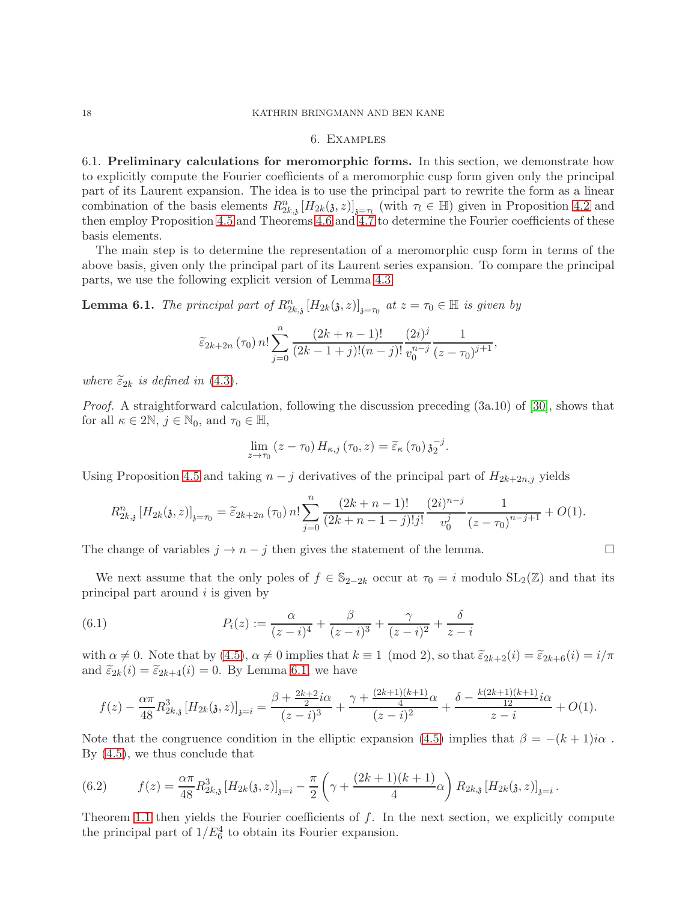## 6. Examples

<span id="page-17-2"></span><span id="page-17-0"></span>6.1. Preliminary calculations for meromorphic forms. In this section, we demonstrate how to explicitly compute the Fourier coefficients of a meromorphic cusp form given only the principal part of its Laurent expansion. The idea is to use the principal part to rewrite the form as a linear combination of the basis elements  $R_{2k,3}^n[H_{2k}(3,z)]_{3=\tau_l}$  (with  $\tau_l \in \mathbb{H}$ ) given in Proposition [4.2](#page-12-0) and then employ Proposition [4.5](#page-13-1) and Theorems [4.6](#page-14-3) and [4.7](#page-14-4) to determine the Fourier coefficients of these basis elements.

The main step is to determine the representation of a meromorphic cusp form in terms of the above basis, given only the principal part of its Laurent series expansion. To compare the principal parts, we use the following explicit version of Lemma [4.3.](#page-12-3)

<span id="page-17-1"></span>**Lemma 6.1.** The principal part of  $R_{2k,3}^n[H_{2k}(3,z)]_{3=\tau_0}$  at  $z=\tau_0 \in \mathbb{H}$  is given by

$$
\widetilde{\varepsilon}_{2k+2n}(\tau_0) n! \sum_{j=0}^n \frac{(2k+n-1)!}{(2k-1+j)!(n-j)!} \frac{(2i)^j}{v_0^{n-j}} \frac{1}{(z-\tau_0)^{j+1}},
$$

where  $\widetilde{\varepsilon}_{2k}$  is defined in [\(4.3\)](#page-12-6).

Proof. A straightforward calculation, following the discussion preceding (3a.10) of [\[30\]](#page-26-0), shows that for all  $\kappa \in 2\mathbb{N}, j \in \mathbb{N}_0$ , and  $\tau_0 \in \mathbb{H}$ ,

$$
\lim_{z \to \tau_0} (z - \tau_0) H_{\kappa,j} (\tau_0, z) = \widetilde{\varepsilon}_{\kappa} (\tau_0) \mathfrak{z}_2^{-j}.
$$

Using Proposition [4.5](#page-13-1) and taking  $n - j$  derivatives of the principal part of  $H_{2k+2n,j}$  yields

$$
R_{2k,3}^{n}[H_{2k}(3,z)]_{\mathfrak{z}=\tau_{0}} = \widetilde{\varepsilon}_{2k+2n}(\tau_{0}) n! \sum_{j=0}^{n} \frac{(2k+n-1)!}{(2k+n-1-j)!j!} \frac{(2i)^{n-j}}{v_{0}^{j}} \frac{1}{(z-\tau_{0})^{n-j+1}} + O(1).
$$

The change of variables  $j \to n - j$  then gives the statement of the lemma.

We next assume that the only poles of  $f \in \mathbb{S}_{2-2k}$  occur at  $\tau_0 = i$  modulo  $SL_2(\mathbb{Z})$  and that its principal part around  $i$  is given by

<span id="page-17-3"></span>(6.1) 
$$
P_i(z) := \frac{\alpha}{(z-i)^4} + \frac{\beta}{(z-i)^3} + \frac{\gamma}{(z-i)^2} + \frac{\delta}{z-i}
$$

with  $\alpha \neq 0$ . Note that by [\(4.5\)](#page-12-1),  $\alpha \neq 0$  implies that  $k \equiv 1 \pmod{2}$ , so that  $\tilde{\varepsilon}_{2k+2}(i) = \tilde{\varepsilon}_{2k+6}(i) = i/\pi$ and  $\tilde{\varepsilon}_{2k}(i) = \tilde{\varepsilon}_{2k+4}(i) = 0$ . By Lemma [6.1,](#page-17-1) we have

$$
f(z) - \frac{\alpha \pi}{48} R_{2k,3}^3 \left[ H_{2k}(\mathfrak{z}, z) \right]_{\mathfrak{z} = i} = \frac{\beta + \frac{2k+2}{2} i\alpha}{(z-i)^3} + \frac{\gamma + \frac{(2k+1)(k+1)}{4} \alpha}{(z-i)^2} + \frac{\delta - \frac{k(2k+1)(k+1)}{12} i\alpha}{z-i} + O(1).
$$

Note that the congruence condition in the elliptic expansion [\(4.5\)](#page-12-1) implies that  $\beta = -(k+1)i\alpha$ . By [\(4.5\)](#page-12-1), we thus conclude that

<span id="page-17-4"></span>(6.2) 
$$
f(z) = \frac{\alpha \pi}{48} R_{2k,3}^3 \left[ H_{2k}(3, z) \right]_{3=i} - \frac{\pi}{2} \left( \gamma + \frac{(2k+1)(k+1)}{4} \alpha \right) R_{2k,3} \left[ H_{2k}(3, z) \right]_{3=i}.
$$

Theorem [1.1](#page-3-0) then yields the Fourier coefficients of  $f$ . In the next section, we explicitly compute the principal part of  $1/E_6^4$  to obtain its Fourier expansion.

$$
\qquad \qquad \Box
$$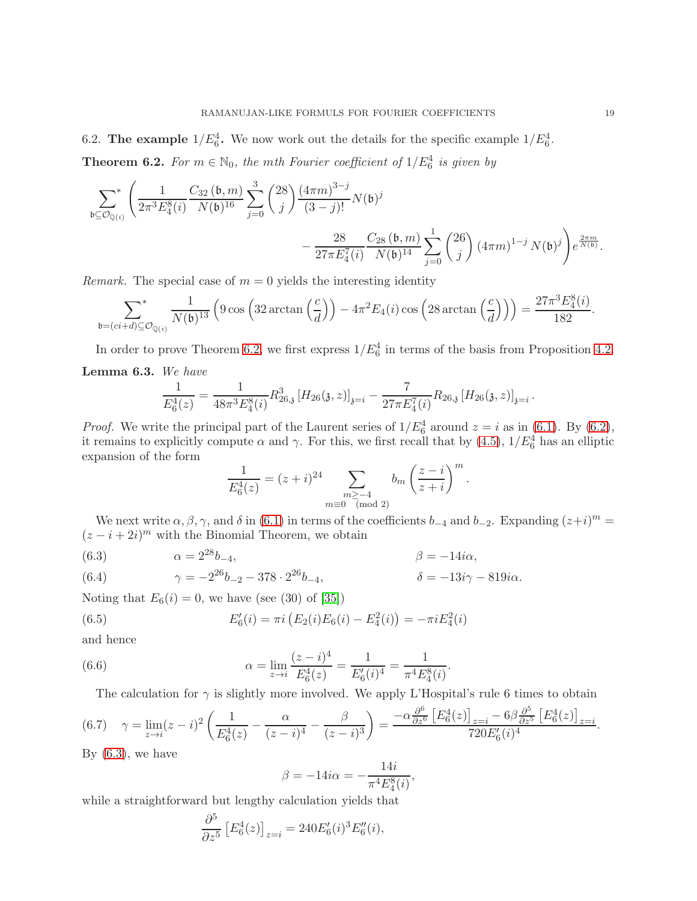6.2. The example  $1/E_6^4$ . We now work out the details for the specific example  $1/E_6^4$ .

<span id="page-18-0"></span>**Theorem 6.2.** For  $m \in \mathbb{N}_0$ , the mth Fourier coefficient of  $1/E_6^4$  is given by

$$
\begin{split} \sum_{\mathfrak{b}\subseteq \mathcal{O}_{\mathbb{Q}(i)}}^{*}\Bigg( \frac{1}{2\pi^{3}E^{8}_{4}(i)}\frac{C_{32}\left(\mathfrak{b},m\right)}{N(\mathfrak{b})^{16}} \sum_{j=0}^{3} \binom{28}{j}\frac{\left(4\pi m\right)^{3-j}}{\left(3-j\right)!}N(\mathfrak{b})^{j} \\ &\quad - \frac{28}{27\pi E^{7}_{4}(i)}\frac{C_{28}\left(\mathfrak{b},m\right)}{N(\mathfrak{b})^{14}} \sum_{j=0}^{1} \binom{26}{j}\left(4\pi m\right)^{1-j}N(\mathfrak{b})^{j} \Bigg) e^{\frac{2\pi m}{N(\mathfrak{b})}}. \end{split}
$$

*Remark.* The special case of  $m = 0$  yields the interesting identity

$$
\sum_{\mathfrak{b}=(ci+d)\subseteq\mathcal{O}_{\mathbb{Q}(i)}}\frac{1}{N(\mathfrak{b})^{13}}\left(9\cos\left(32\arctan\left(\frac{c}{d}\right)\right)-4\pi^2E_4(i)\cos\left(28\arctan\left(\frac{c}{d}\right)\right)\right)=\frac{27\pi^3E_4^8(i)}{182}.
$$

In order to prove Theorem [6.2,](#page-18-0) we first express  $1/E_6^4$  in terms of the basis from Proposition [4.2.](#page-12-0)

### <span id="page-18-5"></span>Lemma 6.3. We have

$$
\frac{1}{E_6^4(z)} = \frac{1}{48\pi^3 E_4^8(i)} R_{26,3}^3 [H_{26}(\mathfrak{z}, z)]_{\mathfrak{z} = i} - \frac{7}{27\pi E_4^7(i)} R_{26,3} [H_{26}(\mathfrak{z}, z)]_{\mathfrak{z} = i}.
$$

*Proof.* We write the principal part of the Laurent series of  $1/E_6^4$  around  $z = i$  as in [\(6.1\)](#page-17-3). By [\(6.2\)](#page-17-4), it remains to explicitly compute  $\alpha$  and  $\gamma$ . For this, we first recall that by [\(4.5\)](#page-12-1),  $1/E_6^4$  has an elliptic expansion of the form

$$
\frac{1}{E_6^4(z)} = (z+i)^{24} \sum_{\substack{m \ge -4 \\ m \equiv 0 \pmod{2}}} b_m \left(\frac{z-i}{z+i}\right)^m.
$$

We next write  $\alpha, \beta, \gamma$ , and  $\delta$  in [\(6.1\)](#page-17-3) in terms of the coefficients  $b_{-4}$  and  $b_{-2}$ . Expanding  $(z+i)^m =$  $(z - i + 2i)^m$  with the Binomial Theorem, we obtain

<span id="page-18-1"></span>(6.3) 
$$
\alpha = 2^{28}b_{-4}, \qquad \beta = -14i\alpha,
$$

<span id="page-18-6"></span>(6.4) 
$$
\gamma = -2^{26}b_{-2} - 378 \cdot 2^{26}b_{-4}, \qquad \delta = -13i\gamma - 819i\alpha.
$$

Noting that  $E_6(i) = 0$ , we have (see (30) of [\[35\]](#page-26-25))

<span id="page-18-3"></span>(6.5) 
$$
E'_6(i) = \pi i \left( E_2(i) E_6(i) - E_4^2(i) \right) = -\pi i E_4^2(i)
$$

and hence

(6.6) 
$$
\alpha = \lim_{z \to i} \frac{(z - i)^4}{E_6^4(z)} = \frac{1}{E_6'(i)^4} = \frac{1}{\pi^4 E_4^8(i)}.
$$

The calculation for  $\gamma$  is slightly more involved. We apply L'Hospital's rule 6 times to obtain

<span id="page-18-2"></span>
$$
(6.7) \quad \gamma = \lim_{z \to i} (z - i)^2 \left( \frac{1}{E_6^4(z)} - \frac{\alpha}{(z - i)^4} - \frac{\beta}{(z - i)^3} \right) = \frac{-\alpha \frac{\partial^6}{\partial z^6} \left[ E_6^4(z) \right]_{z = i} - 6\beta \frac{\partial^5}{\partial z^5} \left[ E_6^4(z) \right]_{z = i}}{720 E_6'(i)^4}.
$$

By  $(6.3)$ , we have

<span id="page-18-4"></span>
$$
\beta = -14i\alpha = -\frac{14i}{\pi^4 E_4^8(i)},
$$

 $14114$ 

while a straightforward but lengthy calculation yields that

$$
\frac{\partial^5}{\partial z^5} \left[ E_6^4(z) \right]_{z=i} = 240 E_6'(i)^3 E_6''(i),
$$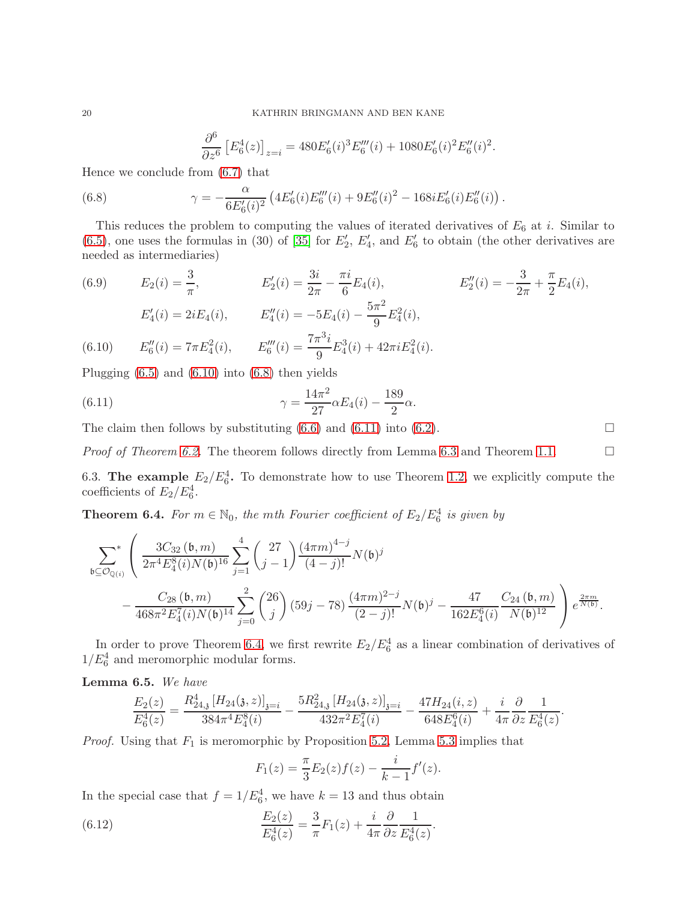<span id="page-19-2"></span>
$$
\frac{\partial^6}{\partial z^6} \left[ E_6^4(z) \right]_{z=i} = 480 E_6'(i)^3 E_6'''(i) + 1080 E_6'(i)^2 E_6''(i)^2.
$$

Hence we conclude from [\(6.7\)](#page-18-2) that

(6.8) 
$$
\gamma = -\frac{\alpha}{6E'_6(i)^2} \left( 4E'_6(i)E'''_6(i) + 9E''_6(i)^2 - 168iE'_6(i)E''_6(i) \right).
$$

This reduces the problem to computing the values of iterated derivatives of  $E_6$  at i. Similar to  $(6.5)$ , one uses the formulas in (30) of [\[35\]](#page-26-25) for  $E'_{2}$ ,  $E'_{4}$ , and  $E'_{6}$  to obtain (the other derivatives are needed as intermediaries)

<span id="page-19-4"></span>(6.9) 
$$
E_2(i) = \frac{3}{\pi}
$$
,  $E'_2(i) = \frac{3i}{2\pi} - \frac{\pi i}{6} E_4(i)$ ,  $E''_2(i) = -\frac{3}{2\pi} + \frac{\pi}{2} E_4(i)$ ,  
\n $E'_4(i) = 2iE_4(i)$ ,  $E''_4(i) = -5E_4(i) - \frac{5\pi^2}{9} E_4^2(i)$ ,  
\n(6.10)  $E''_6(i) = 7\pi E_4^2(i)$ ,  $E'''_6(i) = \frac{7\pi^3 i}{9} E_4^3(i) + 42\pi i E_4^2(i)$ .

<span id="page-19-1"></span>Plugging  $(6.5)$  and  $(6.10)$  into  $(6.8)$  then yields

<span id="page-19-3"></span>(6.11) 
$$
\gamma = \frac{14\pi^2}{27} \alpha E_4(i) - \frac{189}{2} \alpha.
$$

The claim then follows by substituting  $(6.6)$  and  $(6.11)$  into  $(6.2)$ .

*Proof of Theorem [6.2.](#page-18-0)* The theorem follows directly from Lemma [6.3](#page-18-5) and Theorem [1.1.](#page-3-0)  $\Box$ 

6.3. The example  $E_2/E_6^4$ . To demonstrate how to use Theorem [1.2,](#page-3-1) we explicitly compute the coefficients of  $E_2/E_6^4$ .

<span id="page-19-0"></span>**Theorem 6.4.** For  $m \in \mathbb{N}_0$ , the mth Fourier coefficient of  $E_2/E_6^4$  is given by

$$
\begin{split} \sum_{\mathfrak{b}\subseteq \mathcal{O}_{\mathbb{Q}(i)}}^* \left(\frac{3C_{32}(\mathfrak{b},m)}{2\pi^4E_4^8(i)N(\mathfrak{b})^{16}} \sum_{j=1}^4 \binom{27}{j-1} \frac{(4\pi m)^{4-j}}{(4-j)!} N(\mathfrak{b})^j \right. \\ \left. - \frac{C_{28}(\mathfrak{b},m)}{468\pi^2E_4^7(i)N(\mathfrak{b})^{14}} \sum_{j=0}^2 \binom{26}{j} \left(59j-78\right) \frac{(4\pi m)^{2-j}}{(2-j)!} N(\mathfrak{b})^j - \frac{47}{162E_4^6(i)} \frac{C_{24}(\mathfrak{b},m)}{N(\mathfrak{b})^{12}} \right) e^{\frac{2\pi m}{N(\mathfrak{b})}}. \end{split}
$$

In order to prove Theorem [6.4,](#page-19-0) we first rewrite  $E_2/E_6^4$  as a linear combination of derivatives of  $1/E_6^4$  and meromorphic modular forms.

<span id="page-19-6"></span>Lemma 6.5. We have

$$
\frac{E_2(z)}{E_6^4(z)} = \frac{R_{24,3}^4 \left[ H_{24}(3,z) \right]_{3=i}}{384 \pi^4 E_4^8(i)} - \frac{5R_{24,3}^2 \left[ H_{24}(3,z) \right]_{3=i}}{432 \pi^2 E_4^7(i)} - \frac{47H_{24}(i,z)}{648 E_4^6(i)} + \frac{i}{4\pi} \frac{\partial}{\partial z} \frac{1}{E_6^4(z)}.
$$

*Proof.* Using that  $F_1$  is meromorphic by Proposition [5.2,](#page-15-1) Lemma [5.3](#page-16-1) implies that

<span id="page-19-5"></span>
$$
F_1(z) = \frac{\pi}{3} E_2(z) f(z) - \frac{i}{k-1} f'(z).
$$

In the special case that  $f = 1/E_6^4$ , we have  $k = 13$  and thus obtain

(6.12) 
$$
\frac{E_2(z)}{E_6^4(z)} = \frac{3}{\pi} F_1(z) + \frac{i}{4\pi} \frac{\partial}{\partial z} \frac{1}{E_6^4(z)}.
$$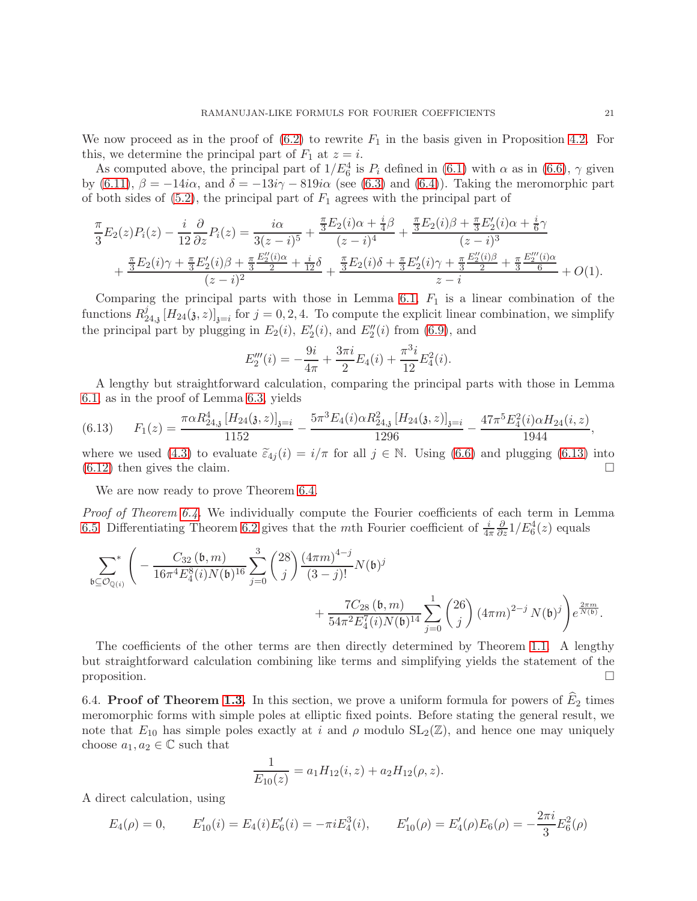We now proceed as in the proof of  $(6.2)$  to rewrite  $F_1$  in the basis given in Proposition [4.2.](#page-12-0) For this, we determine the principal part of  $F_1$  at  $z = i$ .

As computed above, the principal part of  $1/E_6^4$  is  $P_i$  defined in [\(6.1\)](#page-17-3) with  $\alpha$  as in [\(6.6\)](#page-18-4),  $\gamma$  given by [\(6.11\)](#page-19-3),  $\beta = -14i\alpha$ , and  $\delta = -13i\gamma - 819i\alpha$  (see [\(6.3\)](#page-18-1) and [\(6.4\)](#page-18-6)). Taking the meromorphic part of both sides of  $(5.2)$ , the principal part of  $F_1$  agrees with the principal part of

$$
\frac{\pi}{3}E_2(z)P_i(z) - \frac{i}{12}\frac{\partial}{\partial z}P_i(z) = \frac{i\alpha}{3(z-i)^5} + \frac{\frac{\pi}{3}E_2(i)\alpha + \frac{i}{4}\beta}{(z-i)^4} + \frac{\frac{\pi}{3}E_2(i)\beta + \frac{\pi}{3}E'_2(i)\alpha + \frac{i}{6}\gamma}{(z-i)^3} \n+ \frac{\frac{\pi}{3}E_2(i)\gamma + \frac{\pi}{3}E'_2(i)\beta + \frac{\pi}{3}\frac{E''_2(i)\alpha}{2} + \frac{i}{12}\delta}{(z-i)^2} + \frac{\frac{\pi}{3}E_2(i)\delta + \frac{\pi}{3}E'_2(i)\gamma + \frac{\pi}{3}\frac{E''_2(i)\beta}{2} + \frac{\pi}{3}\frac{E'''_2(i)\alpha}{6}}{z-i} + O(1).
$$

Comparing the principal parts with those in Lemma [6.1,](#page-17-1)  $F_1$  is a linear combination of the functions  $R_2^j$  $\mathbb{Z}_{24,3}^{j}$   $[H_{24}(\mathfrak{z},z)]_{\mathfrak{z}=i}$  for  $j=0,2,4$ . To compute the explicit linear combination, we simplify the principal part by plugging in  $E_2(i)$ ,  $E'_2(i)$ , and  $E''_2(i)$  from [\(6.9\)](#page-19-4), and

$$
E_2'''(i) = -\frac{9i}{4\pi} + \frac{3\pi i}{2} E_4(i) + \frac{\pi^3 i}{12} E_4^2(i).
$$

A lengthy but straightforward calculation, comparing the principal parts with those in Lemma [6.1,](#page-17-1) as in the proof of Lemma [6.3,](#page-18-5) yields

<span id="page-20-0"></span>
$$
(6.13) \qquad F_1(z) = \frac{\pi \alpha R_{24,3}^4 \left[ H_{24}(3,z) \right]_{3=i}}{1152} - \frac{5\pi^3 E_4(i) \alpha R_{24,3}^2 \left[ H_{24}(3,z) \right]_{3=i}}{1296} - \frac{47\pi^5 E_4^2(i) \alpha H_{24}(i,z)}{1944},
$$

where we used [\(4.3\)](#page-12-6) to evaluate  $\tilde{\epsilon}_{4j}(i) = i/\pi$  for all  $j \in \mathbb{N}$ . Using [\(6.6\)](#page-18-4) and plugging [\(6.13\)](#page-20-0) into (6.12) then gives the claim. [\(6.12\)](#page-19-5) then gives the claim.

We are now ready to prove Theorem [6.4.](#page-19-0)

Proof of Theorem [6.4.](#page-19-0) We individually compute the Fourier coefficients of each term in Lemma [6.5.](#page-19-6) Differentiating Theorem [6.2](#page-18-0) gives that the mth Fourier coefficient of  $\frac{i}{4\pi}$  $\frac{\partial}{\partial z}1/E_6^4(z)$  equals

$$
\begin{split} \sum_{\mathfrak{b}\subseteq \mathcal{O}_{\mathbb{Q}(i)}}^* \Bigg( -\frac{C_{32} \left(\mathfrak{b},m\right)}{16 \pi ^4 E_4^8 (i) N(\mathfrak{b})^{16}} \sum_{j=0}^3 \binom{28}{j} \frac{\left(4\pi m\right)^{4-j}}{\left(3-j\right)!} N(\mathfrak{b})^j \\ +\frac{7 C_{28} \left(\mathfrak{b},m\right)}{54 \pi ^2 E_4^7 (i) N(\mathfrak{b})^{14}} \sum_{j=0}^1 \binom{26}{j} \left(4\pi m\right)^{2-j} N(\mathfrak{b})^j \Bigg) e^{\frac{2 \pi m}{N(\mathfrak{b})}}. \end{split}
$$

The coefficients of the other terms are then directly determined by Theorem [1.1.](#page-3-0) A lengthy but straightforward calculation combining like terms and simplifying yields the statement of the proposition.

6.4. Proof of Theorem [1.3.](#page-4-1) In this section, we prove a uniform formula for powers of  $\tilde{E}_2$  times meromorphic forms with simple poles at elliptic fixed points. Before stating the general result, we note that  $E_{10}$  has simple poles exactly at i and  $\rho$  modulo  $SL_2(\mathbb{Z})$ , and hence one may uniquely choose  $a_1, a_2 \in \mathbb{C}$  such that

$$
\frac{1}{E_{10}(z)} = a_1 H_{12}(i, z) + a_2 H_{12}(\rho, z).
$$

A direct calculation, using

$$
E_4(\rho) = 0, \qquad E'_{10}(i) = E_4(i)E'_6(i) = -\pi i E_4^3(i), \qquad E'_{10}(\rho) = E'_4(\rho)E_6(\rho) = -\frac{2\pi i}{3}E_6^2(\rho)
$$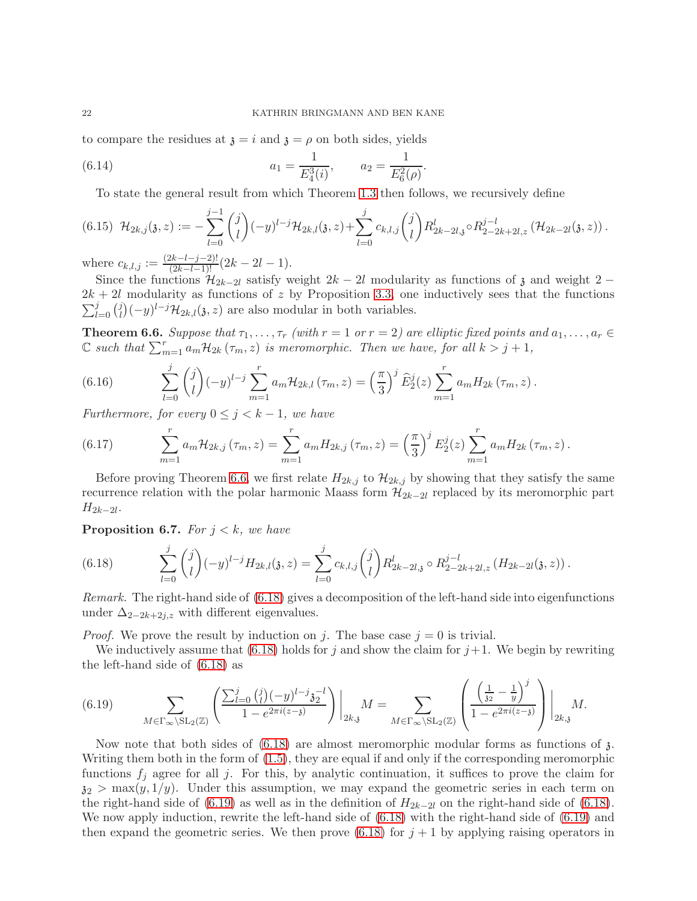to compare the residues at  $\mathfrak{z} = i$  and  $\mathfrak{z} = \rho$  on both sides, yields

(6.14) 
$$
a_1 = \frac{1}{E_4^3(i)}, \qquad a_2 = \frac{1}{E_6^2(\rho)}.
$$

<span id="page-21-7"></span><span id="page-21-4"></span>To state the general result from which Theorem [1.3](#page-4-1) then follows, we recursively define

$$
(6.15)\ \mathcal{H}_{2k,j}(\mathfrak{z},z) := -\sum_{l=0}^{j-1} \binom{j}{l} (-y)^{l-j} \mathcal{H}_{2k,l}(\mathfrak{z},z) + \sum_{l=0}^{j} c_{k,l,j} \binom{j}{l} R_{2k-2l,\mathfrak{z}}^l \circ R_{2-2k+2l,z}^{j-l} \left(\mathcal{H}_{2k-2l}(\mathfrak{z},z)\right).
$$

where  $c_{k,l,j} := \frac{(2k-l-j-2)!}{(2k-l-1)!} (2k-2l-1).$ 

Since the functions  $\mathcal{H}_{2k-2l}$  satisfy weight  $2k-2l$  modularity as functions of  $\mathfrak z$  and weight 2 −  $\sum_{l=0}^j {j \choose l}$  $2k + 2l$  modularity as functions of z by Proposition [3.3,](#page-10-3) one inductively sees that the functions  $\hat{I}_l^j$  $\left(-y\right)^{l-j}$  $\mathcal{H}_{2k,l}(\mathfrak{z},z)$  are also modular in both variables.

<span id="page-21-0"></span>**Theorem 6.6.** Suppose that  $\tau_1, \ldots, \tau_r$  (with  $r = 1$  or  $r = 2$ ) are elliptic fixed points and  $a_1, \ldots, a_r \in$ C such that  $\sum_{m=1}^r a_m \mathcal{H}_{2k}(\tau_m, z)$  is meromorphic. Then we have, for all  $k > j+1$ ,

<span id="page-21-5"></span>(6.16) 
$$
\sum_{l=0}^{j} {j \choose l} (-y)^{l-j} \sum_{m=1}^{r} a_m \mathcal{H}_{2k,l}(\tau_m, z) = \left(\frac{\pi}{3}\right)^{j} \hat{E}_{2}^{j}(z) \sum_{m=1}^{r} a_m H_{2k}(\tau_m, z).
$$

Furthermore, for every  $0 \leq j \leq k-1$ , we have

<span id="page-21-6"></span>(6.17) 
$$
\sum_{m=1}^{r} a_m \mathcal{H}_{2k,j}(\tau_m, z) = \sum_{m=1}^{r} a_m H_{2k,j}(\tau_m, z) = \left(\frac{\pi}{3}\right)^j E_2^j(z) \sum_{m=1}^{r} a_m H_{2k}(\tau_m, z).
$$

Before proving Theorem [6.6,](#page-21-0) we first relate  $H_{2k,j}$  to  $\mathcal{H}_{2k,j}$  by showing that they satisfy the same recurrence relation with the polar harmonic Maass form  $\mathcal{H}_{2k-2l}$  replaced by its meromorphic part  $H_{2k-2l}$ .

<span id="page-21-3"></span>**Proposition 6.7.** For  $j < k$ , we have

<span id="page-21-1"></span>(6.18) 
$$
\sum_{l=0}^{j} {j \choose l} (-y)^{l-j} H_{2k,l}(\mathfrak{z}, z) = \sum_{l=0}^{j} c_{k,l,j} {j \choose l} R_{2k-2l,\mathfrak{z}}^{l} \circ R_{2-2k+2l,z}^{j-l} (H_{2k-2l}(\mathfrak{z}, z)).
$$

Remark. The right-hand side of [\(6.18\)](#page-21-1) gives a decomposition of the left-hand side into eigenfunctions under  $\Delta_{2-2k+2j,z}$  with different eigenvalues.

*Proof.* We prove the result by induction on j. The base case  $j = 0$  is trivial.

We inductively assume that [\(6.18\)](#page-21-1) holds for j and show the claim for  $j+1$ . We begin by rewriting the left-hand side of [\(6.18\)](#page-21-1) as

<span id="page-21-2"></span>
$$
(6.19) \qquad \sum_{M \in \Gamma_{\infty} \backslash \mathrm{SL}_2(\mathbb{Z})} \left( \frac{\sum_{l=0}^j \binom{j}{l} (-y)^{l-j} \mathfrak{z}_2^{-l}}{1 - e^{2\pi i (z - \mathfrak{z})}} \right) \bigg|_{2k, \mathfrak{z}} M = \sum_{M \in \Gamma_{\infty} \backslash \mathrm{SL}_2(\mathbb{Z})} \left( \frac{\left( \frac{1}{\mathfrak{z}_2} - \frac{1}{y} \right)^j}{1 - e^{2\pi i (z - \mathfrak{z})}} \right) \bigg|_{2k, \mathfrak{z}} M.
$$

Now note that both sides of  $(6.18)$  are almost meromorphic modular forms as functions of  $\lambda$ . Writing them both in the form of [\(1.5\)](#page-4-2), they are equal if and only if the corresponding meromorphic functions  $f_i$  agree for all j. For this, by analytic continuation, it suffices to prove the claim for  $z_2 > \max(y, 1/y)$ . Under this assumption, we may expand the geometric series in each term on the right-hand side of [\(6.19\)](#page-21-2) as well as in the definition of  $H_{2k-2l}$  on the right-hand side of [\(6.18\)](#page-21-1). We now apply induction, rewrite the left-hand side of [\(6.18\)](#page-21-1) with the right-hand side of [\(6.19\)](#page-21-2) and then expand the geometric series. We then prove  $(6.18)$  for  $j + 1$  by applying raising operators in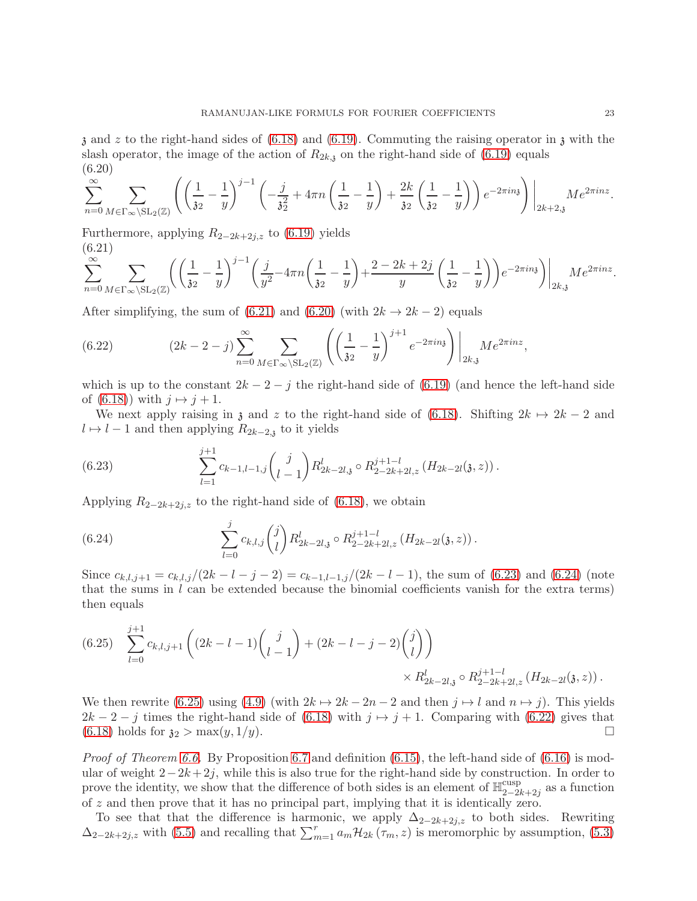$\alpha$  and z to the right-hand sides of [\(6.18\)](#page-21-1) and [\(6.19\)](#page-21-2). Commuting the raising operator in  $\alpha$  with the slash operator, the image of the action of  $R_{2k,j}$  on the right-hand side of [\(6.19\)](#page-21-2) equals (6.20)

<span id="page-22-1"></span>
$$
\sum_{n=0}^{\infty} \sum_{M \in \Gamma_{\infty} \backslash \mathrm{SL}_2(\mathbb{Z})} \left( \left( \frac{1}{32} - \frac{1}{y} \right)^{j-1} \left( -\frac{j}{32} + 4\pi n \left( \frac{1}{32} - \frac{1}{y} \right) + \frac{2k}{32} \left( \frac{1}{32} - \frac{1}{y} \right) \right) e^{-2\pi i n \mathfrak{z}} \right) \Big|_{2k+2,\mathfrak{z}} M e^{2\pi i n \mathfrak{z}}.
$$

Furthermore, applying  $R_{2-2k+2j,z}$  to [\(6.19\)](#page-21-2) yields (6.21)

<span id="page-22-0"></span>
$$
\sum_{n=0}^{\infty} \sum_{M \in \Gamma_{\infty} \backslash \mathrm{SL}_2(\mathbb{Z})} \left( \left( \frac{1}{32} - \frac{1}{y} \right)^{j-1} \left( \frac{j}{y^2} - 4\pi n \left( \frac{1}{32} - \frac{1}{y} \right) + \frac{2 - 2k + 2j}{y} \left( \frac{1}{32} - \frac{1}{y} \right) \right) e^{-2\pi i n \mathfrak{z}} \right) \Big|_{2k, \mathfrak{z}} M e^{2\pi i n z}.
$$

After simplifying, the sum of [\(6.21\)](#page-22-0) and [\(6.20\)](#page-22-1) (with  $2k \rightarrow 2k-2$ ) equals

<span id="page-22-5"></span>(6.22) 
$$
(2k - 2 - j) \sum_{n=0}^{\infty} \sum_{M \in \Gamma_{\infty} \backslash \mathrm{SL}_2(\mathbb{Z})} \left( \left( \frac{1}{32} - \frac{1}{y} \right)^{j+1} e^{-2\pi i n y} \right) \Big|_{2k, y} M e^{2\pi i n z},
$$

which is up to the constant  $2k - 2 - j$  the right-hand side of [\(6.19\)](#page-21-2) (and hence the left-hand side of [\(6.18\)](#page-21-1)) with  $j \mapsto j+1$ .

We next apply raising in  $\chi$  and z to the right-hand side of [\(6.18\)](#page-21-1). Shifting  $2k \mapsto 2k - 2$  and  $l \mapsto l - 1$  and then applying  $R_{2k-2,j}$  to it yields

<span id="page-22-2"></span>(6.23) 
$$
\sum_{l=1}^{j+1} c_{k-1,l-1,j} {j \choose l-1} R_{2k-2l,3}^l \circ R_{2-2k+2l,z}^{j+1-l} (H_{2k-2l}(3,z)).
$$

Applying  $R_{2-2k+2j,z}$  to the right-hand side of [\(6.18\)](#page-21-1), we obtain

<span id="page-22-3"></span>(6.24) 
$$
\sum_{l=0}^{j} c_{k,l,j} {j \choose l} R_{2k-2l,3}^{l} \circ R_{2-2k+2l,z}^{j+1-l} (H_{2k-2l}(3,z)).
$$

Since  $c_{k,l,j+1} = c_{k,l,j}/(2k-l-j-2) = c_{k-1,l-1,j}/(2k-l-1)$ , the sum of [\(6.23\)](#page-22-2) and [\(6.24\)](#page-22-3) (note that the sums in  $l$  can be extended because the binomial coefficients vanish for the extra terms) then equals

<span id="page-22-4"></span>
$$
(6.25) \sum_{l=0}^{j+1} c_{k,l,j+1} \left( (2k-l-1) {j \choose l-1} + (2k-l-j-2) {j \choose l} \right) \times R_{2k-2l,3}^l \circ R_{2-2k+2l,z}^{j+1-l} (H_{2k-2l}(3,z)).
$$

We then rewrite [\(6.25\)](#page-22-4) using [\(4.9\)](#page-13-5) (with  $2k \rightarrow 2k - 2n - 2$  and then  $j \rightarrow l$  and  $n \rightarrow j$ ). This yields  $2k - 2 - j$  times the right-hand side of [\(6.18\)](#page-21-1) with  $j \mapsto j + 1$ . Comparing with [\(6.22\)](#page-22-5) gives that (6.18) holds for  $\mathfrak{z}_2 > \max(u, 1/u)$ .  $(6.18)$  holds for  $\mathfrak{z}_2 > \max(y, 1/y)$ .

*Proof of Theorem [6.6.](#page-21-0)* By Proposition [6.7](#page-21-3) and definition  $(6.15)$ , the left-hand side of  $(6.16)$  is modular of weight  $2-2k+2j$ , while this is also true for the right-hand side by construction. In order to prove the identity, we show that the difference of both sides is an element of  $\mathbb{H}_{2-2}^{\text{cusp}}$  $\frac{2-2k+2j}{2}$  as a function of z and then prove that it has no principal part, implying that it is identically zero.

To see that that the difference is harmonic, we apply  $\Delta_{2-2k+2j,z}$  to both sides. Rewriting  $\Delta_{2-2k+2j,z}$  with [\(5.5\)](#page-15-6) and recalling that  $\sum_{m=1}^{r} a_m \mathcal{H}_{2k}(\tau_m, z)$  is meromorphic by assumption, [\(5.3\)](#page-15-7)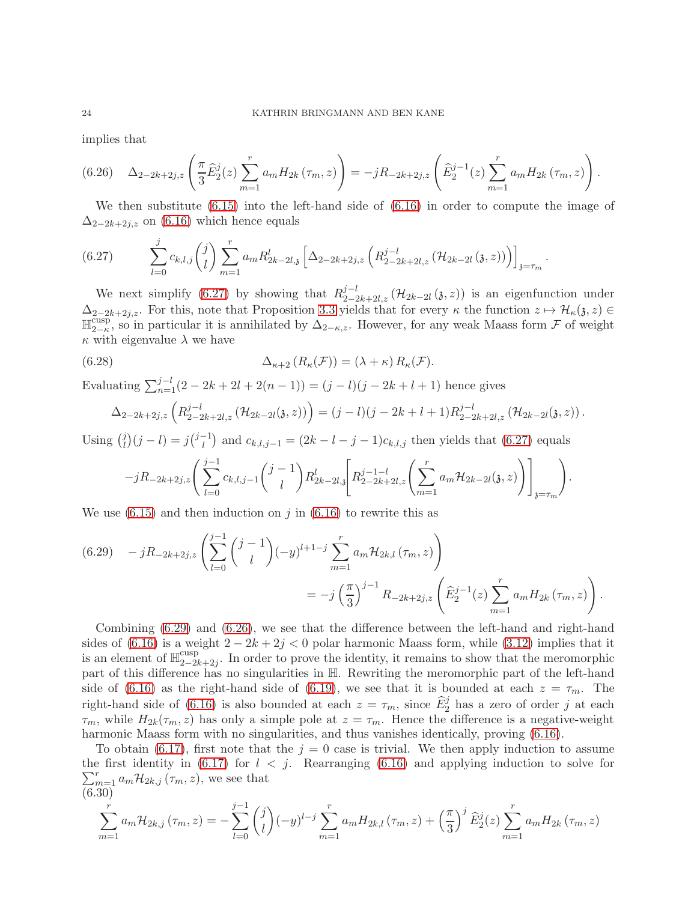implies that

<span id="page-23-2"></span>
$$
(6.26)\quad \Delta_{2-2k+2j,z}\left(\frac{\pi}{3}\widehat{E}_{2}^{j}(z)\sum_{m=1}^{r}a_{m}H_{2k}(\tau_{m},z)\right)=-jR_{-2k+2j,z}\left(\widehat{E}_{2}^{j-1}(z)\sum_{m=1}^{r}a_{m}H_{2k}(\tau_{m},z)\right).
$$

We then substitute [\(6.15\)](#page-21-4) into the left-hand side of [\(6.16\)](#page-21-5) in order to compute the image of  $\Delta_{2-2k+2j,z}$  on [\(6.16\)](#page-21-5) which hence equals

.

<span id="page-23-0"></span>
$$
(6.27) \qquad \sum_{l=0}^{j} c_{k,l,j} \binom{j}{l} \sum_{m=1}^{r} a_m R_{2k-2l,j}^l \left[ \Delta_{2-2k+2j,z} \left( R_{2-2k+2l,z}^{j-l} \left( \mathcal{H}_{2k-2l} \left( 3,z \right) \right) \right) \right]_{\mathfrak{z}=\tau_m}
$$

We next simplify [\(6.27\)](#page-23-0) by showing that  $R_{2-2k+2l,z}^{j-l}(\mathcal{H}_{2k-2l}(\mathfrak{z},z))$  is an eigenfunction under  $\Delta_{2-2k+2j,z}$ . For this, note that Proposition [3.3](#page-10-3) yields that for every  $\kappa$  the function  $z \mapsto \mathcal{H}_{\kappa}(z, z) \in$  $\mathbb{H}_{2-\kappa}^{\overline{\text{cusp}}}$ <sup>cusp</sup>, so in particular it is annihilated by  $\Delta_{2-\kappa,z}$ . However, for any weak Maass form F of weight  $\kappa$  with eigenvalue  $\lambda$  we have

(6.28) 
$$
\Delta_{\kappa+2} (R_{\kappa}(\mathcal{F})) = (\lambda + \kappa) R_{\kappa}(\mathcal{F}).
$$

Evaluating  $\sum_{n=1}^{j-l} (2 - 2k + 2l + 2(n - 1)) = (j - l)(j - 2k + l + 1)$  hence gives

<span id="page-23-4"></span>
$$
\Delta_{2-2k+2j,z}\left(R_{2-2k+2l,z}^{j-l}\left(\mathcal{H}_{2k-2l}(\mathfrak{z},z)\right)\right)=(j-l)(j-2k+l+1)R_{2-2k+2l,z}^{j-l}\left(\mathcal{H}_{2k-2l}(\mathfrak{z},z)\right).
$$

Using  $\binom{j}{l}$  $\binom{j}{l}(j-l) = j\binom{j-1}{l}$  and  $c_{k,l,j-1} = (2k-l-j-1)c_{k,l,j}$  then yields that  $(6.27)$  equals

$$
-jR_{-2k+2j,z}\left(\sum_{l=0}^{j-1}c_{k,l,j-1}\binom{j-1}{l}R_{2k-2l,j}^l\left[R_{2-2k+2l,z}^{j-1-l}\left(\sum_{m=1}^ra_m\mathcal{H}_{2k-2l}(\mathfrak{z},z)\right)\right]_{\mathfrak{z}=\tau_m}\right).
$$

We use  $(6.15)$  and then induction on j in  $(6.16)$  to rewrite this as

<span id="page-23-1"></span>
$$
(6.29) \t - jR_{-2k+2j,z} \left( \sum_{l=0}^{j-1} {j-1 \choose l} (-y)^{l+1-j} \sum_{m=1}^{r} a_m \mathcal{H}_{2k,l}(\tau_m, z) \right)
$$
  
= 
$$
-j \left( \frac{\pi}{3} \right)^{j-1} R_{-2k+2j,z} \left( \widehat{E}_2^{j-1}(z) \sum_{m=1}^{r} a_m H_{2k}(\tau_m, z) \right).
$$

Combining [\(6.29\)](#page-23-1) and [\(6.26\)](#page-23-2), we see that the difference between the left-hand and right-hand sides of [\(6.16\)](#page-21-5) is a weight  $2 - 2k + 2j < 0$  polar harmonic Maass form, while [\(3.12\)](#page-11-2) implies that it is an element of  $\mathbb{H}_{2-2i}^{\text{cusp}}$  $2-2k+2j$ . In order to prove the identity, it remains to show that the meromorphic part of this difference has no singularities in H. Rewriting the meromorphic part of the left-hand side of [\(6.16\)](#page-21-5) as the right-hand side of [\(6.19\)](#page-21-2), we see that it is bounded at each  $z = \tau_m$ . The right-hand side of [\(6.16\)](#page-21-5) is also bounded at each  $z = \tau_m$ , since  $\widehat{E}_2^j$  has a zero of order j at each  $\tau_m$ , while  $H_{2k}(\tau_m, z)$  has only a simple pole at  $z = \tau_m$ . Hence the difference is a negative-weight harmonic Maass form with no singularities, and thus vanishes identically, proving [\(6.16\)](#page-21-5).

To obtain [\(6.17\)](#page-21-6), first note that the  $j = 0$  case is trivial. We then apply induction to assume the first identity in  $(6.17)$  for  $l < j$ . Rearranging  $(6.16)$  and applying induction to solve for  $\sum_{m=1}^r a_m \mathcal{H}_{2k,j}(\tau_m, z)$ , we see that (6.30)

<span id="page-23-3"></span>
$$
\sum_{m=1}^{r} a_m \mathcal{H}_{2k,j}(\tau_m, z) = -\sum_{l=0}^{j-1} {j \choose l} (-y)^{l-j} \sum_{m=1}^{r} a_m H_{2k,l}(\tau_m, z) + \left(\frac{\pi}{3}\right)^j \widehat{E}_2^j(z) \sum_{m=1}^{r} a_m H_{2k}(\tau_m, z)
$$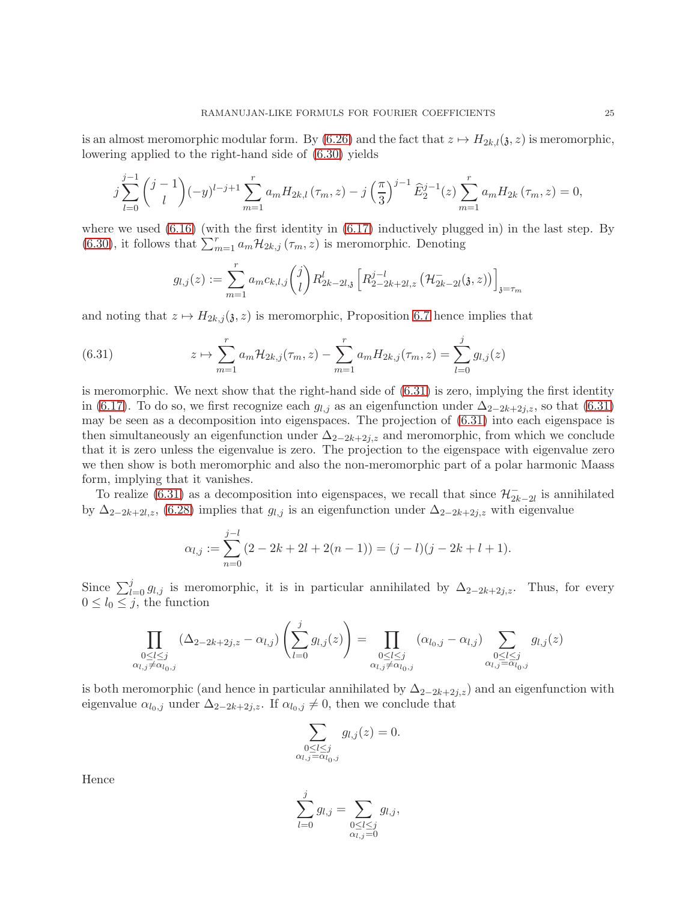is an almost meromorphic modular form. By [\(6.26\)](#page-23-2) and the fact that  $z \mapsto H_{2k,l}(\mathfrak{z}, z)$  is meromorphic, lowering applied to the right-hand side of [\(6.30\)](#page-23-3) yields

$$
j\sum_{l=0}^{j-1} {j-1 \choose l} (-y)^{l-j+1} \sum_{m=1}^{r} a_m H_{2k,l}(\tau_m, z) - j \left(\frac{\pi}{3}\right)^{j-1} \widehat{E}_2^{j-1}(z) \sum_{m=1}^{r} a_m H_{2k}(\tau_m, z) = 0,
$$

where we used  $(6.16)$  (with the first identity in  $(6.17)$  inductively plugged in) in the last step. By [\(6.30\)](#page-23-3), it follows that  $\sum_{m=1}^r a_m \mathcal{H}_{2k,j}(\tau_m, z)$  is meromorphic. Denoting

<span id="page-24-0"></span>
$$
g_{l,j}(z) := \sum_{m=1}^{r} a_m c_{k,l,j} {j \choose l} R_{2k-2l,j}^{l} \left[ R_{2-2k+2l,z}^{j-l} \left( \mathcal{H}_{2k-2l}^{-}(\mathfrak{z}, z) \right) \right]_{\mathfrak{z} = \tau_m}
$$

and noting that  $z \mapsto H_{2k,j}(\mathfrak{z}, z)$  is meromorphic, Proposition [6.7](#page-21-3) hence implies that

(6.31) 
$$
z \mapsto \sum_{m=1}^{r} a_m \mathcal{H}_{2k,j}(\tau_m, z) - \sum_{m=1}^{r} a_m H_{2k,j}(\tau_m, z) = \sum_{l=0}^{j} g_{l,j}(z)
$$

is meromorphic. We next show that the right-hand side of  $(6.31)$  is zero, implying the first identity in [\(6.17\)](#page-21-6). To do so, we first recognize each  $g_{l,j}$  as an eigenfunction under  $\Delta_{2-2k+2j,z}$ , so that [\(6.31\)](#page-24-0) may be seen as a decomposition into eigenspaces. The projection of [\(6.31\)](#page-24-0) into each eigenspace is then simultaneously an eigenfunction under  $\Delta_{2-2k+2j,z}$  and meromorphic, from which we conclude that it is zero unless the eigenvalue is zero. The projection to the eigenspace with eigenvalue zero we then show is both meromorphic and also the non-meromorphic part of a polar harmonic Maass form, implying that it vanishes.

To realize [\(6.31\)](#page-24-0) as a decomposition into eigenspaces, we recall that since  $\mathcal{H}_{2k-2l}^-$  is annihilated by  $\Delta_{2-2k+2l,z}$ , [\(6.28\)](#page-23-4) implies that  $g_{l,j}$  is an eigenfunction under  $\Delta_{2-2k+2j,z}$  with eigenvalue

$$
\alpha_{l,j} := \sum_{n=0}^{j-l} (2 - 2k + 2l + 2(n - 1)) = (j - l)(j - 2k + l + 1).
$$

Since  $\sum_{l=0}^{j} g_{l,j}$  is meromorphic, it is in particular annihilated by  $\Delta_{2-2k+2j,z}$ . Thus, for every  $0 \leq l_0 \leq j$ , the function

$$
\prod_{\substack{0 \le l \le j \\ \alpha_{l,j} \neq \alpha_{l_0,j}}} (\Delta_{2-2k+2j,z} - \alpha_{l,j}) \left( \sum_{l=0}^j g_{l,j}(z) \right) = \prod_{\substack{0 \le l \le j \\ \alpha_{l,j} \neq \alpha_{l_0,j}}} (\alpha_{l_0,j} - \alpha_{l,j}) \sum_{\substack{0 \le l \le j \\ \alpha_{l,j} = \alpha_{l_0,j}}} g_{l,j}(z)
$$

is both meromorphic (and hence in particular annihilated by  $\Delta_{2-2k+2j,z}$ ) and an eigenfunction with eigenvalue  $\alpha_{l_0,j}$  under  $\Delta_{2-2k+2j,z}$ . If  $\alpha_{l_0,j} \neq 0$ , then we conclude that

$$
\sum_{\substack{0 \le l \le j \\ \alpha_{l,j} = \alpha_{l_0,j}}} g_{l,j}(z) = 0.
$$

Hence

$$
\sum_{l=0}^{j} g_{l,j} = \sum_{\substack{0 \le l \le j \\ \alpha_{l,j} = 0}} g_{l,j},
$$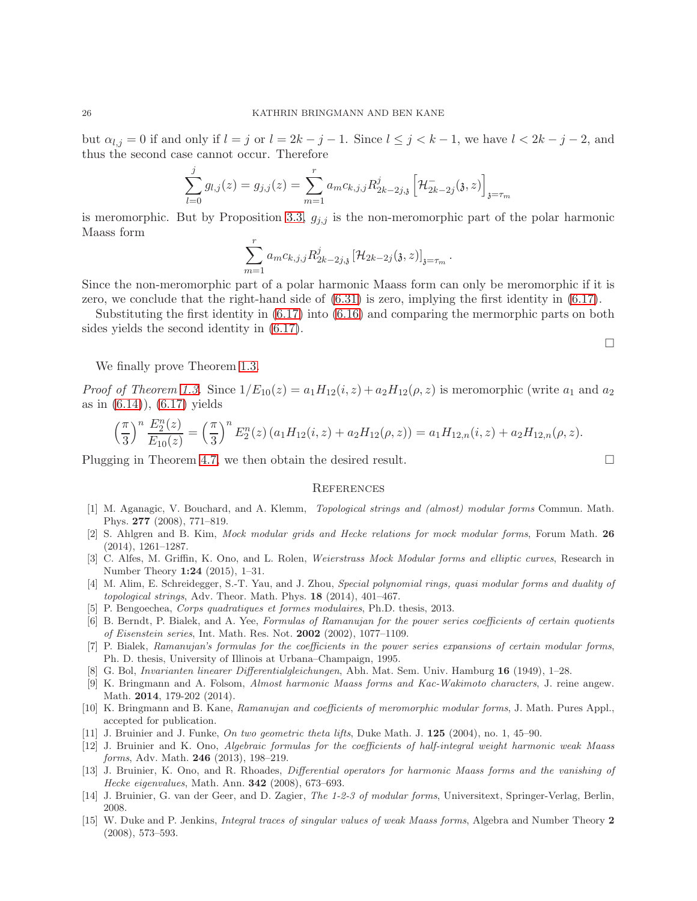but  $\alpha_{l,j} = 0$  if and only if  $l = j$  or  $l = 2k - j - 1$ . Since  $l \leq j \leq k - 1$ , we have  $l < 2k - j - 2$ , and thus the second case cannot occur. Therefore

$$
\sum_{l=0}^{j} g_{l,j}(z) = g_{j,j}(z) = \sum_{m=1}^{r} a_m c_{k,j,j} R_{2k-2j,j}^j \left[ \mathcal{H}_{2k-2j}^-(\mathfrak{z}, z) \right]_{\mathfrak{z} = \tau_m}
$$

is meromorphic. But by Proposition [3.3,](#page-10-3)  $g_{j,j}$  is the non-meromorphic part of the polar harmonic Maass form

$$
\sum_{m=1}^r a_m c_{k,j,j} R_{2k-2j,3}^j \left[ \mathcal{H}_{2k-2j}(\mathfrak{z}, z) \right]_{\mathfrak{z} = \tau_m}.
$$

Since the non-meromorphic part of a polar harmonic Maass form can only be meromorphic if it is zero, we conclude that the right-hand side of [\(6.31\)](#page-24-0) is zero, implying the first identity in [\(6.17\)](#page-21-6).

Substituting the first identity in [\(6.17\)](#page-21-6) into [\(6.16\)](#page-21-5) and comparing the mermorphic parts on both sides yields the second identity in [\(6.17\)](#page-21-6).

We finally prove Theorem [1.3.](#page-4-1)

*Proof of Theorem [1.3.](#page-4-1)* Since  $1/E_{10}(z) = a_1H_{12}(i, z) + a_2H_{12}(\rho, z)$  is meromorphic (write  $a_1$  and  $a_2$ ) as in  $(6.14)$ ,  $(6.17)$  yields

$$
\left(\frac{\pi}{3}\right)^n \frac{E_2^n(z)}{E_{10}(z)} = \left(\frac{\pi}{3}\right)^n E_2^n(z) \left(a_1 H_{12}(i, z) + a_2 H_{12}(\rho, z)\right) = a_1 H_{12, n}(i, z) + a_2 H_{12, n}(\rho, z).
$$

Plugging in Theorem [4.7,](#page-14-4) we then obtain the desired result.

#### **REFERENCES**

- <span id="page-25-11"></span>[1] M. Aganagic, V. Bouchard, and A. Klemm, Topological strings and (almost) modular forms Commun. Math. Phys. 277 (2008), 771–819.
- <span id="page-25-14"></span>[2] S. Ahlgren and B. Kim, Mock modular grids and Hecke relations for mock modular forms, Forum Math. 26 (2014), 1261–1287.
- <span id="page-25-6"></span>[3] C. Alfes, M. Griffin, K. Ono, and L. Rolen, Weierstrass Mock Modular forms and elliptic curves, Research in Number Theory 1:24 (2015), 1–31.
- <span id="page-25-12"></span>[4] M. Alim, E. Schreidegger, S.-T. Yau, and J. Zhou, Special polynomial rings, quasi modular forms and duality of topological strings, Adv. Theor. Math. Phys. 18 (2014), 401–467.
- <span id="page-25-4"></span><span id="page-25-1"></span>[5] P. Bengoechea, Corps quadratiques et formes modulaires, Ph.D. thesis, 2013.
- [6] B. Berndt, P. Bialek, and A. Yee, Formulas of Ramanujan for the power series coefficients of certain quotients of Eisenstein series, Int. Math. Res. Not. 2002 (2002), 1077–1109.
- <span id="page-25-2"></span>[7] P. Bialek, Ramanujan's formulas for the coefficients in the power series expansions of certain modular forms, Ph. D. thesis, University of Illinois at Urbana–Champaign, 1995.
- <span id="page-25-10"></span><span id="page-25-8"></span>[8] G. Bol, Invarianten linearer Differentialgleichungen, Abh. Mat. Sem. Univ. Hamburg 16 (1949), 1–28.
- [9] K. Bringmann and A. Folsom, Almost harmonic Maass forms and Kac-Wakimoto characters, J. reine angew. Math. 2014, 179-202 (2014).
- <span id="page-25-3"></span>[10] K. Bringmann and B. Kane, Ramanujan and coefficients of meromorphic modular forms, J. Math. Pures Appl., accepted for publication.
- <span id="page-25-7"></span><span id="page-25-0"></span>[11] J. Bruinier and J. Funke, On two geometric theta lifts, Duke Math. J. 125 (2004), no. 1, 45–90.
- [12] J. Bruinier and K. Ono, Algebraic formulas for the coefficients of half-integral weight harmonic weak Maass forms, Adv. Math. 246 (2013), 198–219.
- <span id="page-25-9"></span>[13] J. Bruinier, K. Ono, and R. Rhoades, Differential operators for harmonic Maass forms and the vanishing of Hecke eigenvalues, Math. Ann. 342 (2008), 673–693.
- <span id="page-25-13"></span>[14] J. Bruinier, G. van der Geer, and D. Zagier, The 1-2-3 of modular forms, Universitext, Springer-Verlag, Berlin, 2008.
- <span id="page-25-5"></span>[15] W. Duke and P. Jenkins, Integral traces of singular values of weak Maass forms, Algebra and Number Theory 2 (2008), 573–593.

 $\Box$